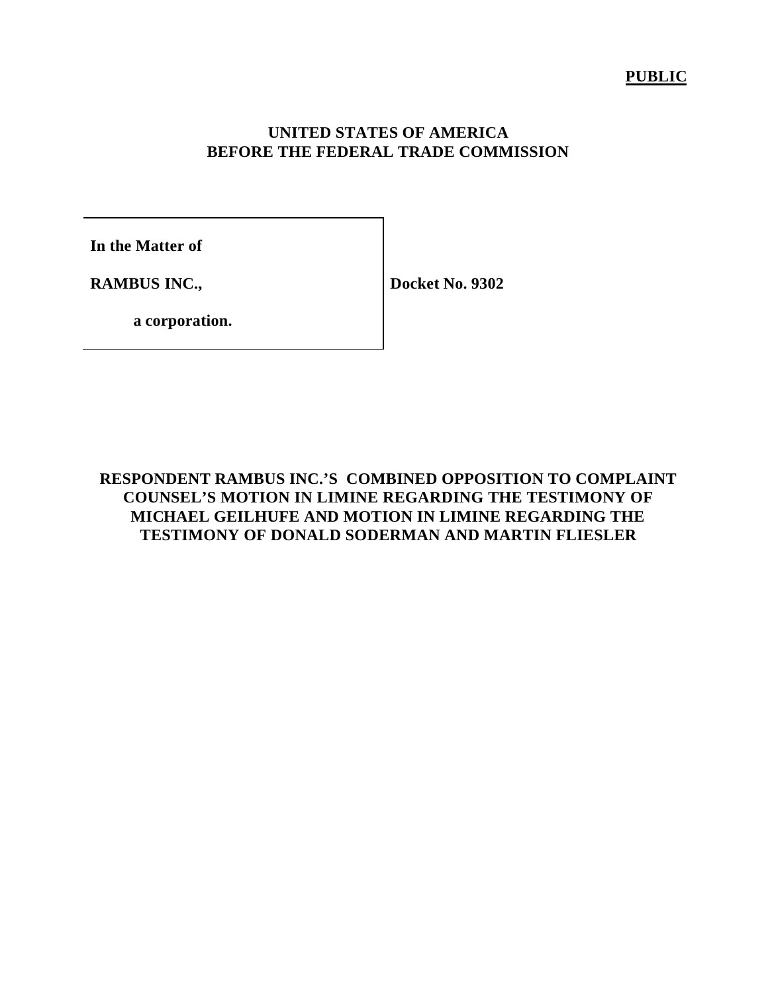#### **PUBLIC**

## **UNITED STATES OF AMERICA BEFORE THE FEDERAL TRADE COMMISSION**

**In the Matter of**

**RAMBUS INC.,**

**Docket No. 9302**

**a corporation.**

**RESPONDENT RAMBUS INC.'S COMBINED OPPOSITION TO COMPLAINT COUNSEL'S MOTION IN LIMINE REGARDING THE TESTIMONY OF MICHAEL GEILHUFE AND MOTION IN LIMINE REGARDING THE TESTIMONY OF DONALD SODERMAN AND MARTIN FLIESLER**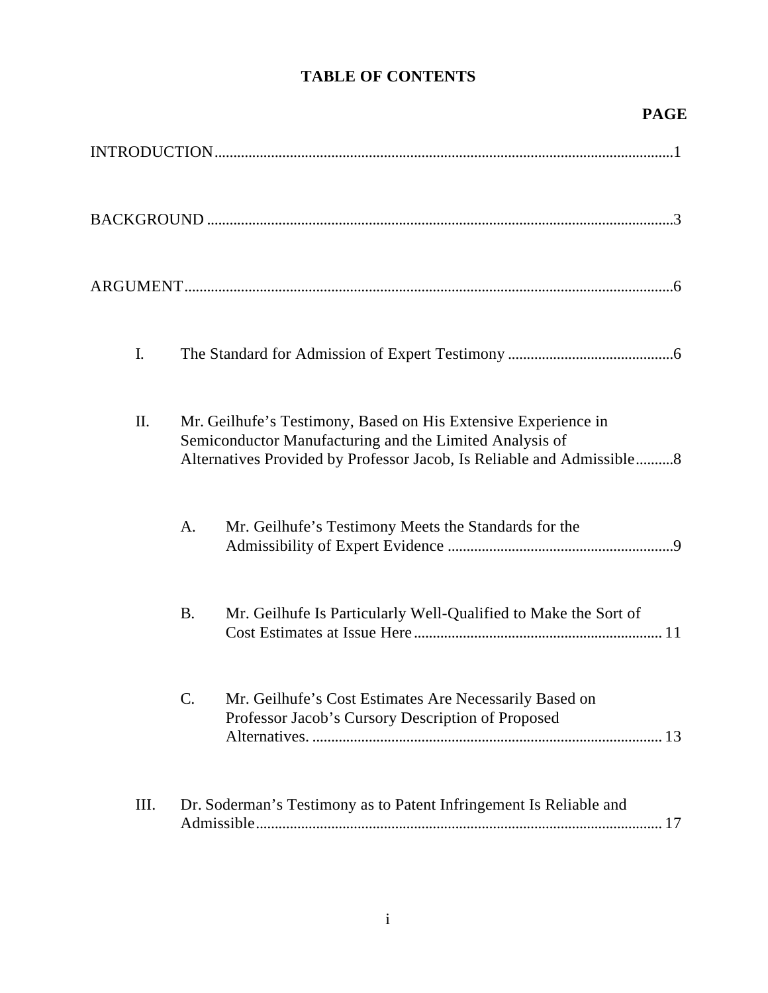# **TABLE OF CONTENTS**

# **PAGE**

| I.   |                                                                                                                                                                                                    |
|------|----------------------------------------------------------------------------------------------------------------------------------------------------------------------------------------------------|
| Π.   | Mr. Geilhufe's Testimony, Based on His Extensive Experience in<br>Semiconductor Manufacturing and the Limited Analysis of<br>Alternatives Provided by Professor Jacob, Is Reliable and Admissible8 |
|      | Mr. Geilhufe's Testimony Meets the Standards for the<br>A.                                                                                                                                         |
|      | <b>B.</b><br>Mr. Geilhufe Is Particularly Well-Qualified to Make the Sort of                                                                                                                       |
|      | C.<br>Mr. Geilhufe's Cost Estimates Are Necessarily Based on<br>Professor Jacob's Cursory Description of Proposed                                                                                  |
| III. | Dr. Soderman's Testimony as to Patent Infringement Is Reliable and                                                                                                                                 |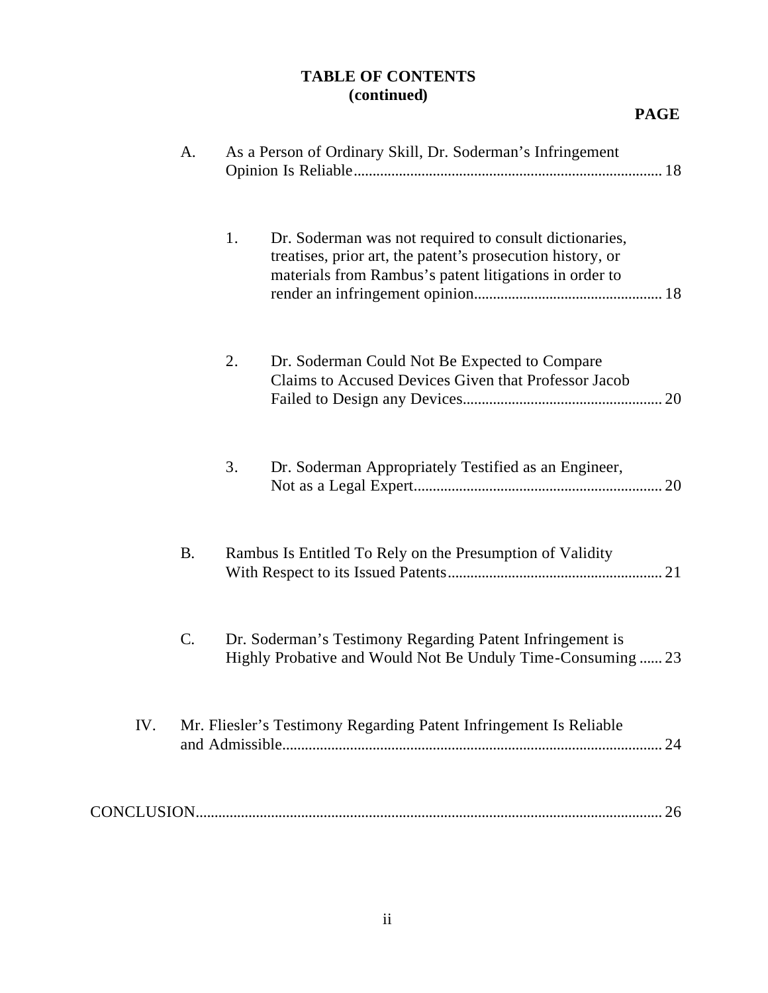## **TABLE OF CONTENTS (continued)**

|     | A.        | As a Person of Ordinary Skill, Dr. Soderman's Infringement                                                                                                                           |  |
|-----|-----------|--------------------------------------------------------------------------------------------------------------------------------------------------------------------------------------|--|
|     |           | Dr. Soderman was not required to consult dictionaries,<br>1.<br>treatises, prior art, the patent's prosecution history, or<br>materials from Rambus's patent litigations in order to |  |
|     |           | 2.<br>Dr. Soderman Could Not Be Expected to Compare<br>Claims to Accused Devices Given that Professor Jacob                                                                          |  |
|     |           | 3.<br>Dr. Soderman Appropriately Testified as an Engineer,                                                                                                                           |  |
|     | <b>B.</b> | Rambus Is Entitled To Rely on the Presumption of Validity                                                                                                                            |  |
|     | C.        | Dr. Soderman's Testimony Regarding Patent Infringement is<br>Highly Probative and Would Not Be Unduly Time-Consuming  23                                                             |  |
| IV. |           | Mr. Fliesler's Testimony Regarding Patent Infringement Is Reliable<br>24                                                                                                             |  |
|     |           | 26                                                                                                                                                                                   |  |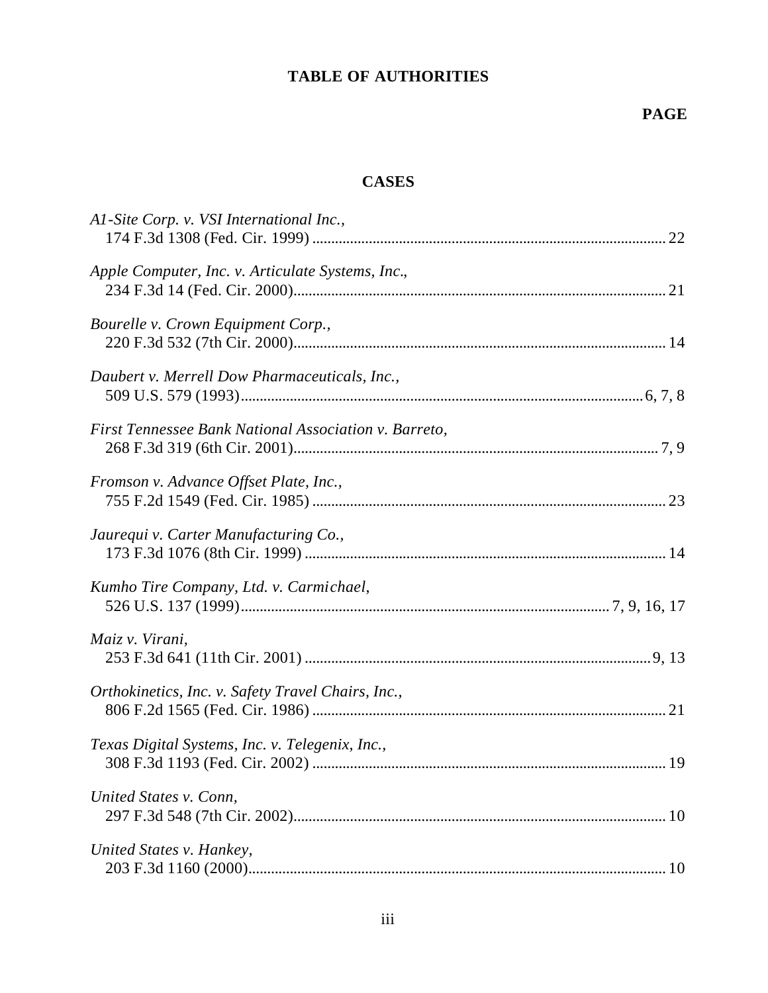## **TABLE OF AUTHORITIES**

## **CASES**

| Al-Site Corp. v. VSI International Inc.,              |  |
|-------------------------------------------------------|--|
| Apple Computer, Inc. v. Articulate Systems, Inc.,     |  |
| Bourelle v. Crown Equipment Corp.,                    |  |
| Daubert v. Merrell Dow Pharmaceuticals, Inc.,         |  |
| First Tennessee Bank National Association v. Barreto, |  |
| Fromson v. Advance Offset Plate, Inc.,                |  |
| Jaurequi v. Carter Manufacturing Co.,                 |  |
| Kumho Tire Company, Ltd. v. Carmichael,               |  |
| Maiz v. Virani,                                       |  |
| Orthokinetics, Inc. v. Safety Travel Chairs, Inc.,    |  |
| Texas Digital Systems, Inc. v. Telegenix, Inc.,       |  |
| United States v. Conn,                                |  |
| United States v. Hankey,                              |  |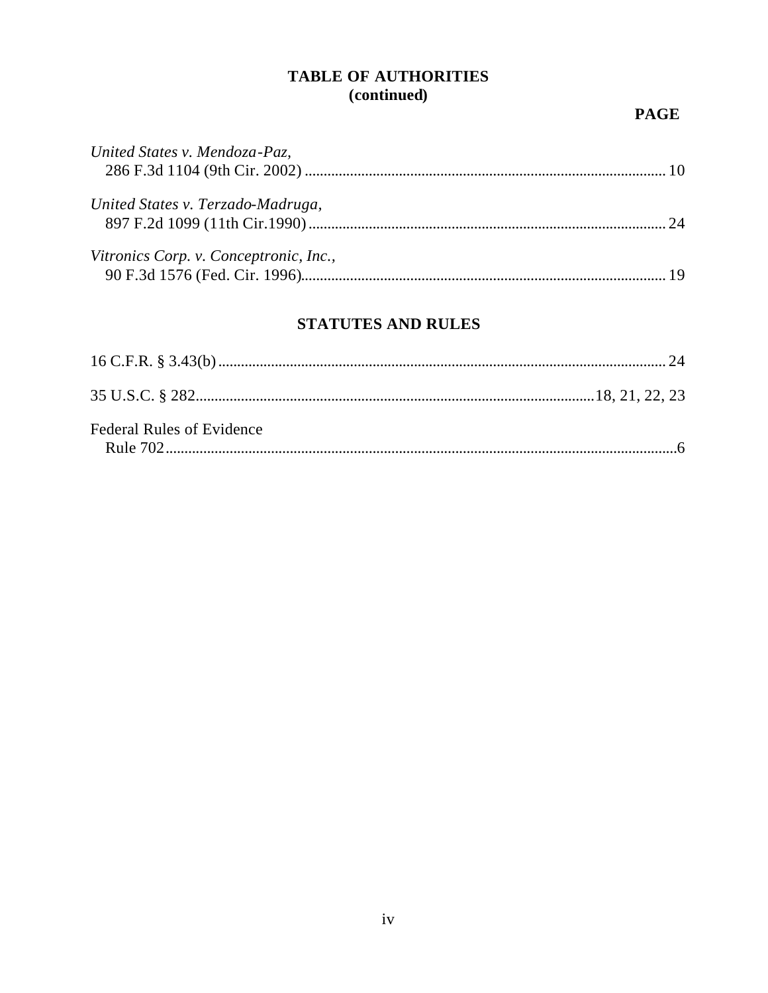## **TABLE OF AUTHORITIES** (continued)

## **PAGE**

| United States v. Mendoza-Paz,          |  |
|----------------------------------------|--|
| United States v. Terzado-Madruga,      |  |
| Vitronics Corp. v. Conceptronic, Inc., |  |

## **STATUTES AND RULES**

| <b>Federal Rules of Evidence</b> |  |
|----------------------------------|--|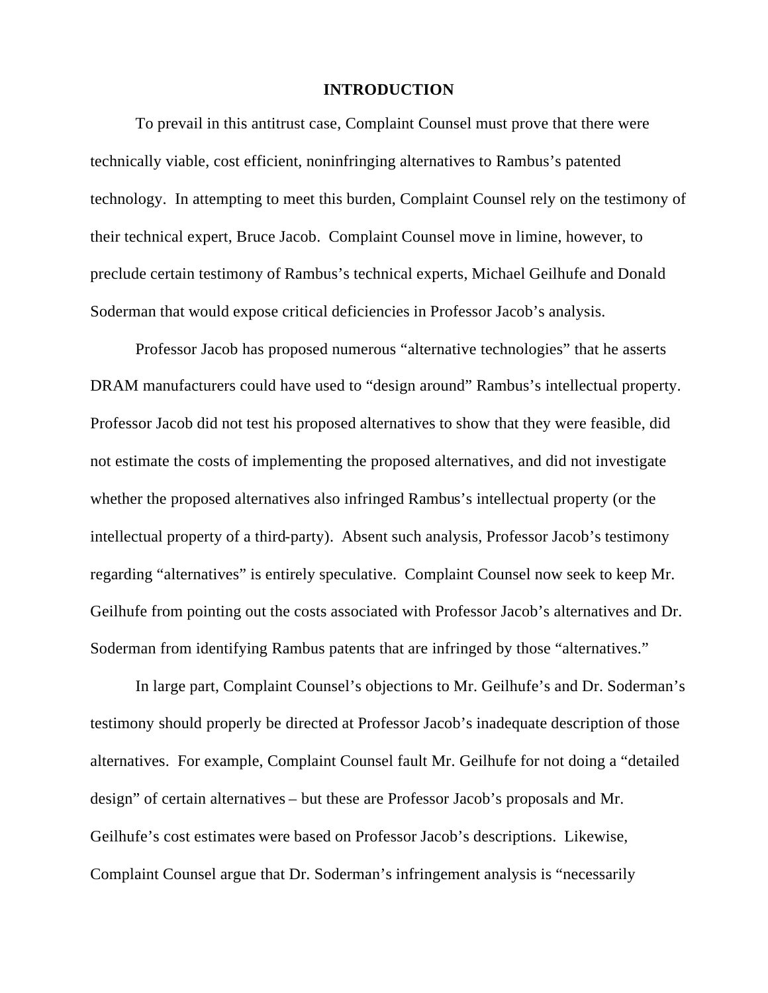#### **INTRODUCTION**

To prevail in this antitrust case, Complaint Counsel must prove that there were technically viable, cost efficient, noninfringing alternatives to Rambus's patented technology. In attempting to meet this burden, Complaint Counsel rely on the testimony of their technical expert, Bruce Jacob. Complaint Counsel move in limine, however, to preclude certain testimony of Rambus's technical experts, Michael Geilhufe and Donald Soderman that would expose critical deficiencies in Professor Jacob's analysis.

Professor Jacob has proposed numerous "alternative technologies" that he asserts DRAM manufacturers could have used to "design around" Rambus's intellectual property. Professor Jacob did not test his proposed alternatives to show that they were feasible, did not estimate the costs of implementing the proposed alternatives, and did not investigate whether the proposed alternatives also infringed Rambus's intellectual property (or the intellectual property of a third-party). Absent such analysis, Professor Jacob's testimony regarding "alternatives" is entirely speculative. Complaint Counsel now seek to keep Mr. Geilhufe from pointing out the costs associated with Professor Jacob's alternatives and Dr. Soderman from identifying Rambus patents that are infringed by those "alternatives."

In large part, Complaint Counsel's objections to Mr. Geilhufe's and Dr. Soderman's testimony should properly be directed at Professor Jacob's inadequate description of those alternatives. For example, Complaint Counsel fault Mr. Geilhufe for not doing a "detailed design" of certain alternatives – but these are Professor Jacob's proposals and Mr. Geilhufe's cost estimates were based on Professor Jacob's descriptions. Likewise, Complaint Counsel argue that Dr. Soderman's infringement analysis is "necessarily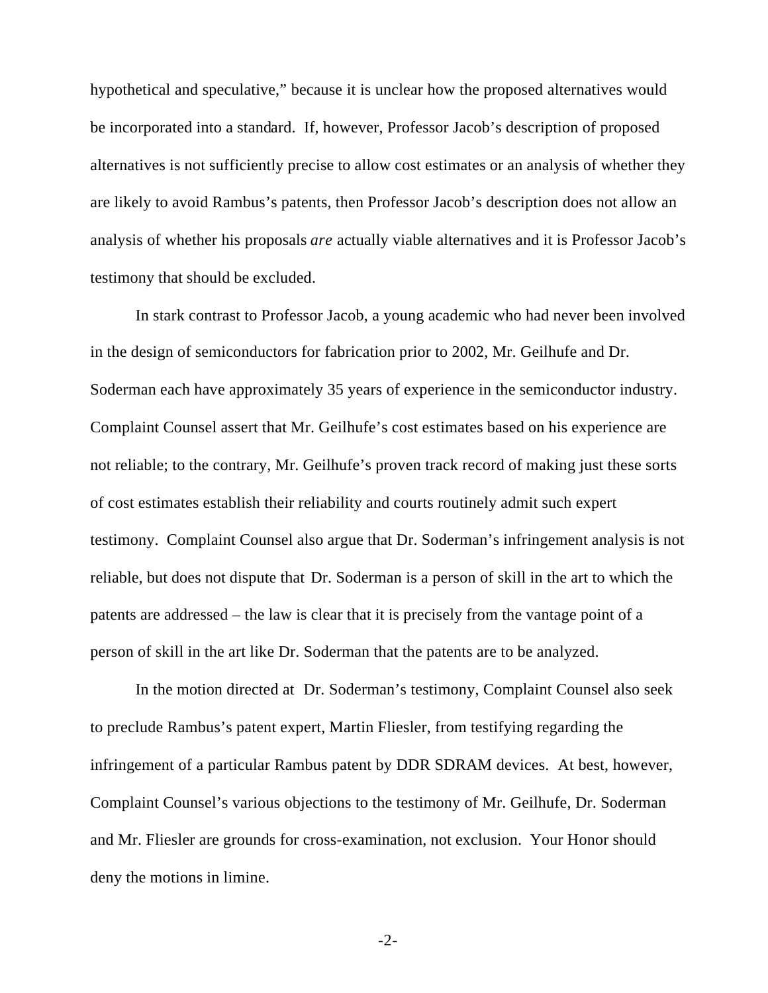hypothetical and speculative," because it is unclear how the proposed alternatives would be incorporated into a standard. If, however, Professor Jacob's description of proposed alternatives is not sufficiently precise to allow cost estimates or an analysis of whether they are likely to avoid Rambus's patents, then Professor Jacob's description does not allow an analysis of whether his proposals *are* actually viable alternatives and it is Professor Jacob's testimony that should be excluded.

In stark contrast to Professor Jacob, a young academic who had never been involved in the design of semiconductors for fabrication prior to 2002, Mr. Geilhufe and Dr. Soderman each have approximately 35 years of experience in the semiconductor industry. Complaint Counsel assert that Mr. Geilhufe's cost estimates based on his experience are not reliable; to the contrary, Mr. Geilhufe's proven track record of making just these sorts of cost estimates establish their reliability and courts routinely admit such expert testimony. Complaint Counsel also argue that Dr. Soderman's infringement analysis is not reliable, but does not dispute that Dr. Soderman is a person of skill in the art to which the patents are addressed – the law is clear that it is precisely from the vantage point of a person of skill in the art like Dr. Soderman that the patents are to be analyzed.

In the motion directed at Dr. Soderman's testimony, Complaint Counsel also seek to preclude Rambus's patent expert, Martin Fliesler, from testifying regarding the infringement of a particular Rambus patent by DDR SDRAM devices. At best, however, Complaint Counsel's various objections to the testimony of Mr. Geilhufe, Dr. Soderman and Mr. Fliesler are grounds for cross-examination, not exclusion. Your Honor should deny the motions in limine.

-2-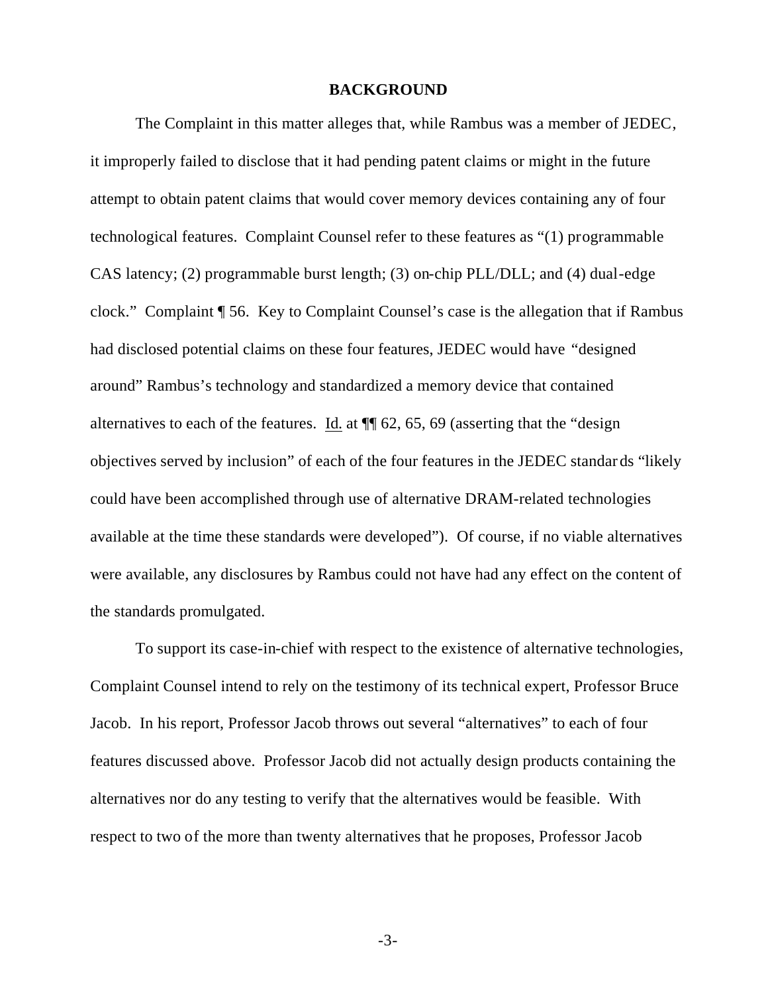#### **BACKGROUND**

The Complaint in this matter alleges that, while Rambus was a member of JEDEC, it improperly failed to disclose that it had pending patent claims or might in the future attempt to obtain patent claims that would cover memory devices containing any of four technological features. Complaint Counsel refer to these features as "(1) programmable CAS latency; (2) programmable burst length; (3) on-chip PLL/DLL; and (4) dual-edge clock." Complaint ¶ 56. Key to Complaint Counsel's case is the allegation that if Rambus had disclosed potential claims on these four features, JEDEC would have "designed around" Rambus's technology and standardized a memory device that contained alternatives to each of the features. Id. at  $\P$  62, 65, 69 (asserting that the "design" objectives served by inclusion" of each of the four features in the JEDEC standar ds "likely could have been accomplished through use of alternative DRAM-related technologies available at the time these standards were developed"). Of course, if no viable alternatives were available, any disclosures by Rambus could not have had any effect on the content of the standards promulgated.

To support its case-in-chief with respect to the existence of alternative technologies, Complaint Counsel intend to rely on the testimony of its technical expert, Professor Bruce Jacob. In his report, Professor Jacob throws out several "alternatives" to each of four features discussed above. Professor Jacob did not actually design products containing the alternatives nor do any testing to verify that the alternatives would be feasible. With respect to two of the more than twenty alternatives that he proposes, Professor Jacob

-3-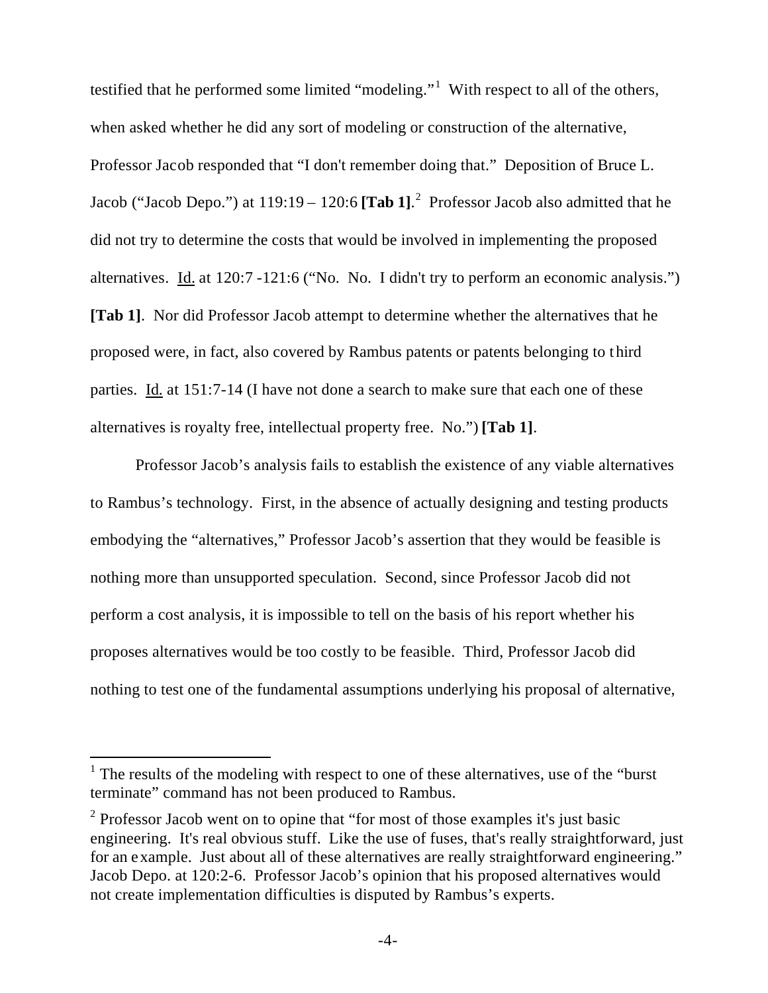testified that he performed some limited "modeling."<sup>1</sup> With respect to all of the others, when asked whether he did any sort of modeling or construction of the alternative, Professor Jacob responded that "I don't remember doing that." Deposition of Bruce L. Jacob ("Jacob Depo.") at 119:19 – 120:6 **[Tab 1]**. 2 Professor Jacob also admitted that he did not try to determine the costs that would be involved in implementing the proposed alternatives. Id. at 120:7 -121:6 ("No. No. I didn't try to perform an economic analysis.") **[Tab 1]**. Nor did Professor Jacob attempt to determine whether the alternatives that he proposed were, in fact, also covered by Rambus patents or patents belonging to t hird parties. Id. at 151:7-14 (I have not done a search to make sure that each one of these alternatives is royalty free, intellectual property free. No.") **[Tab 1]**.

Professor Jacob's analysis fails to establish the existence of any viable alternatives to Rambus's technology. First, in the absence of actually designing and testing products embodying the "alternatives," Professor Jacob's assertion that they would be feasible is nothing more than unsupported speculation. Second, since Professor Jacob did not perform a cost analysis, it is impossible to tell on the basis of his report whether his proposes alternatives would be too costly to be feasible. Third, Professor Jacob did nothing to test one of the fundamental assumptions underlying his proposal of alternative,

l

 $<sup>1</sup>$  The results of the modeling with respect to one of these alternatives, use of the "burst"</sup> terminate" command has not been produced to Rambus.

 $2^2$  Professor Jacob went on to opine that "for most of those examples it's just basic engineering. It's real obvious stuff. Like the use of fuses, that's really straightforward, just for an example. Just about all of these alternatives are really straightforward engineering." Jacob Depo. at 120:2-6. Professor Jacob's opinion that his proposed alternatives would not create implementation difficulties is disputed by Rambus's experts.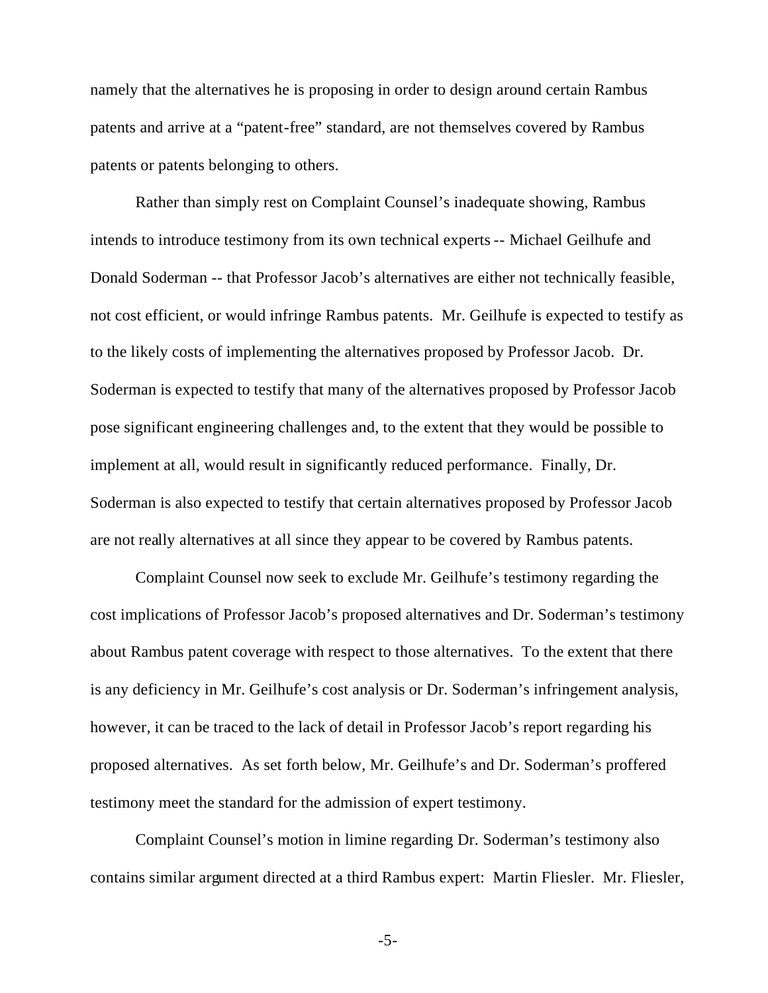namely that the alternatives he is proposing in order to design around certain Rambus patents and arrive at a "patent-free" standard, are not themselves covered by Rambus patents or patents belonging to others.

Rather than simply rest on Complaint Counsel's inadequate showing, Rambus intends to introduce testimony from its own technical experts -- Michael Geilhufe and Donald Soderman -- that Professor Jacob's alternatives are either not technically feasible, not cost efficient, or would infringe Rambus patents. Mr. Geilhufe is expected to testify as to the likely costs of implementing the alternatives proposed by Professor Jacob. Dr. Soderman is expected to testify that many of the alternatives proposed by Professor Jacob pose significant engineering challenges and, to the extent that they would be possible to implement at all, would result in significantly reduced performance. Finally, Dr. Soderman is also expected to testify that certain alternatives proposed by Professor Jacob are not really alternatives at all since they appear to be covered by Rambus patents.

Complaint Counsel now seek to exclude Mr. Geilhufe's testimony regarding the cost implications of Professor Jacob's proposed alternatives and Dr. Soderman's testimony about Rambus patent coverage with respect to those alternatives. To the extent that there is any deficiency in Mr. Geilhufe's cost analysis or Dr. Soderman's infringement analysis, however, it can be traced to the lack of detail in Professor Jacob's report regarding his proposed alternatives. As set forth below, Mr. Geilhufe's and Dr. Soderman's proffered testimony meet the standard for the admission of expert testimony.

Complaint Counsel's motion in limine regarding Dr. Soderman's testimony also contains similar argument directed at a third Rambus expert: Martin Fliesler. Mr. Fliesler,

-5-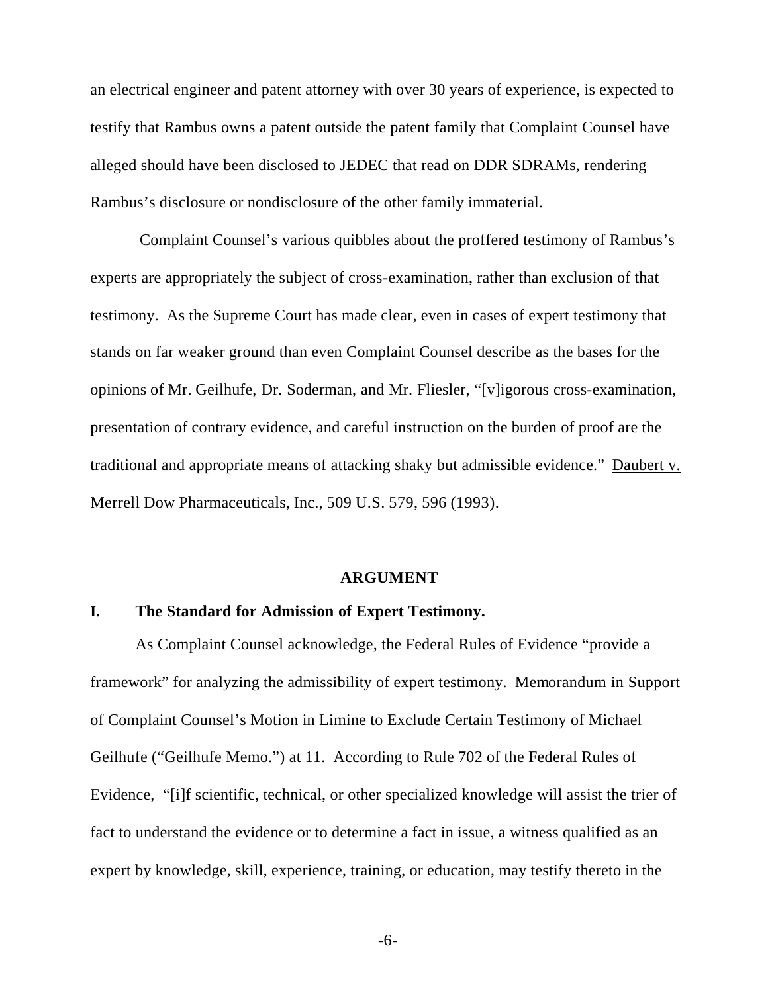an electrical engineer and patent attorney with over 30 years of experience, is expected to testify that Rambus owns a patent outside the patent family that Complaint Counsel have alleged should have been disclosed to JEDEC that read on DDR SDRAMs, rendering Rambus's disclosure or nondisclosure of the other family immaterial.

 Complaint Counsel's various quibbles about the proffered testimony of Rambus's experts are appropriately the subject of cross-examination, rather than exclusion of that testimony. As the Supreme Court has made clear, even in cases of expert testimony that stands on far weaker ground than even Complaint Counsel describe as the bases for the opinions of Mr. Geilhufe, Dr. Soderman, and Mr. Fliesler, "[v]igorous cross-examination, presentation of contrary evidence, and careful instruction on the burden of proof are the traditional and appropriate means of attacking shaky but admissible evidence." Daubert v. Merrell Dow Pharmaceuticals, Inc., 509 U.S. 579, 596 (1993).

#### **ARGUMENT**

#### **I. The Standard for Admission of Expert Testimony.**

As Complaint Counsel acknowledge, the Federal Rules of Evidence "provide a framework" for analyzing the admissibility of expert testimony. Memorandum in Support of Complaint Counsel's Motion in Limine to Exclude Certain Testimony of Michael Geilhufe ("Geilhufe Memo.") at 11. According to Rule 702 of the Federal Rules of Evidence, "[i]f scientific, technical, or other specialized knowledge will assist the trier of fact to understand the evidence or to determine a fact in issue, a witness qualified as an expert by knowledge, skill, experience, training, or education, may testify thereto in the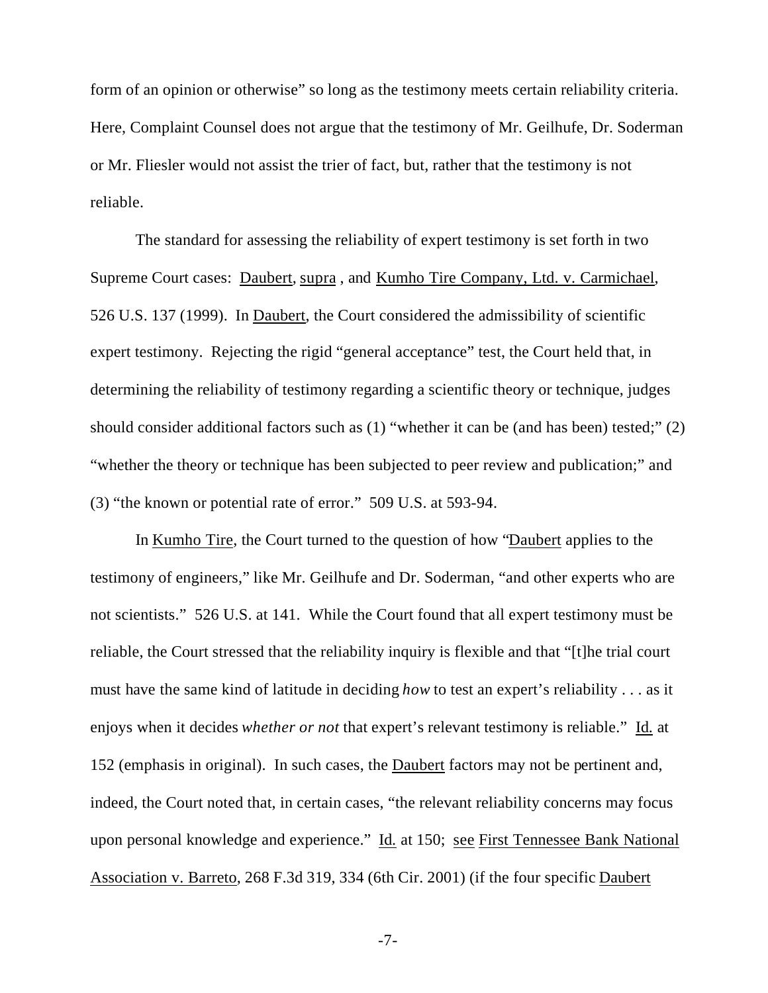form of an opinion or otherwise" so long as the testimony meets certain reliability criteria. Here, Complaint Counsel does not argue that the testimony of Mr. Geilhufe, Dr. Soderman or Mr. Fliesler would not assist the trier of fact, but, rather that the testimony is not reliable.

The standard for assessing the reliability of expert testimony is set forth in two Supreme Court cases: Daubert, supra , and Kumho Tire Company, Ltd. v. Carmichael, 526 U.S. 137 (1999). In Daubert, the Court considered the admissibility of scientific expert testimony. Rejecting the rigid "general acceptance" test, the Court held that, in determining the reliability of testimony regarding a scientific theory or technique, judges should consider additional factors such as (1) "whether it can be (and has been) tested;" (2) "whether the theory or technique has been subjected to peer review and publication;" and (3) "the known or potential rate of error." 509 U.S. at 593-94.

In Kumho Tire, the Court turned to the question of how "Daubert applies to the testimony of engineers," like Mr. Geilhufe and Dr. Soderman, "and other experts who are not scientists." 526 U.S. at 141. While the Court found that all expert testimony must be reliable, the Court stressed that the reliability inquiry is flexible and that "[t]he trial court must have the same kind of latitude in deciding *how* to test an expert's reliability . . . as it enjoys when it decides *whether or not* that expert's relevant testimony is reliable." Id. at 152 (emphasis in original). In such cases, the Daubert factors may not be pertinent and, indeed, the Court noted that, in certain cases, "the relevant reliability concerns may focus upon personal knowledge and experience." Id. at 150; see First Tennessee Bank National Association v. Barreto, 268 F.3d 319, 334 (6th Cir. 2001) (if the four specific Daubert

-7-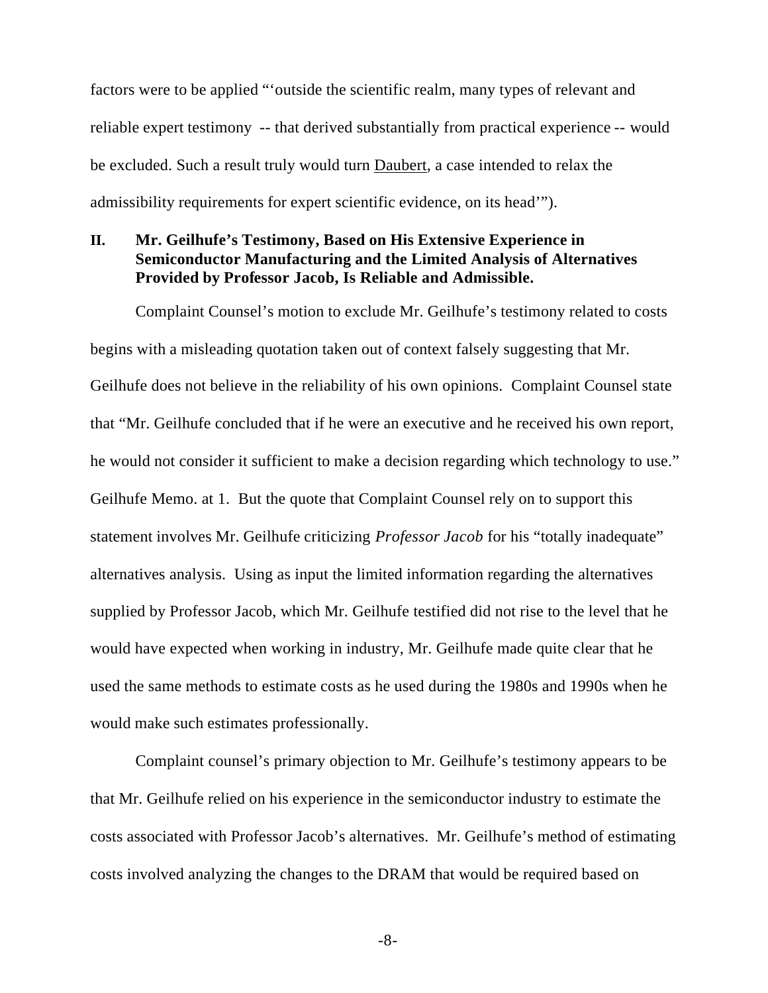factors were to be applied "'outside the scientific realm, many types of relevant and reliable expert testimony -- that derived substantially from practical experience -- would be excluded. Such a result truly would turn Daubert, a case intended to relax the admissibility requirements for expert scientific evidence, on its head'").

### **II. Mr. Geilhufe's Testimony, Based on His Extensive Experience in Semiconductor Manufacturing and the Limited Analysis of Alternatives Provided by Professor Jacob, Is Reliable and Admissible.**

Complaint Counsel's motion to exclude Mr. Geilhufe's testimony related to costs begins with a misleading quotation taken out of context falsely suggesting that Mr. Geilhufe does not believe in the reliability of his own opinions. Complaint Counsel state that "Mr. Geilhufe concluded that if he were an executive and he received his own report, he would not consider it sufficient to make a decision regarding which technology to use." Geilhufe Memo. at 1. But the quote that Complaint Counsel rely on to support this statement involves Mr. Geilhufe criticizing *Professor Jacob* for his "totally inadequate" alternatives analysis. Using as input the limited information regarding the alternatives supplied by Professor Jacob, which Mr. Geilhufe testified did not rise to the level that he would have expected when working in industry, Mr. Geilhufe made quite clear that he used the same methods to estimate costs as he used during the 1980s and 1990s when he would make such estimates professionally.

Complaint counsel's primary objection to Mr. Geilhufe's testimony appears to be that Mr. Geilhufe relied on his experience in the semiconductor industry to estimate the costs associated with Professor Jacob's alternatives. Mr. Geilhufe's method of estimating costs involved analyzing the changes to the DRAM that would be required based on

-8-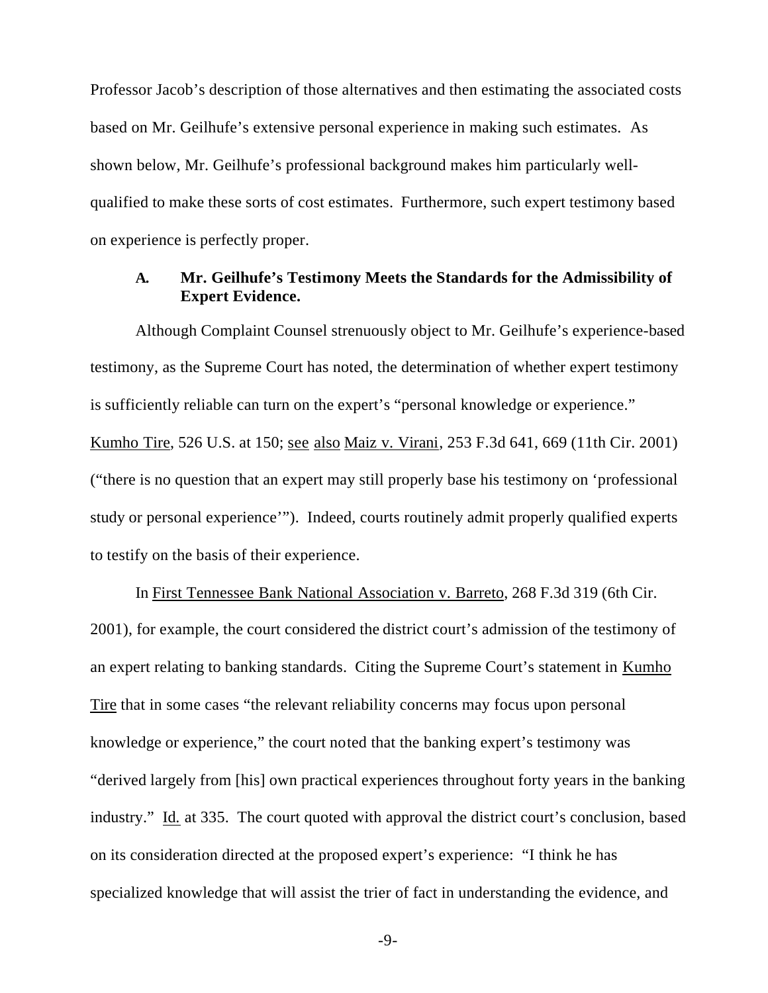Professor Jacob's description of those alternatives and then estimating the associated costs based on Mr. Geilhufe's extensive personal experience in making such estimates. As shown below, Mr. Geilhufe's professional background makes him particularly wellqualified to make these sorts of cost estimates. Furthermore, such expert testimony based on experience is perfectly proper.

## **A. Mr. Geilhufe's Testimony Meets the Standards for the Admissibility of Expert Evidence.**

Although Complaint Counsel strenuously object to Mr. Geilhufe's experience-based testimony, as the Supreme Court has noted, the determination of whether expert testimony is sufficiently reliable can turn on the expert's "personal knowledge or experience." Kumho Tire, 526 U.S. at 150; see also Maiz v. Virani, 253 F.3d 641, 669 (11th Cir. 2001) ("there is no question that an expert may still properly base his testimony on 'professional study or personal experience'"). Indeed, courts routinely admit properly qualified experts to testify on the basis of their experience.

In First Tennessee Bank National Association v. Barreto, 268 F.3d 319 (6th Cir. 2001), for example, the court considered the district court's admission of the testimony of an expert relating to banking standards. Citing the Supreme Court's statement in Kumho Tire that in some cases "the relevant reliability concerns may focus upon personal knowledge or experience," the court noted that the banking expert's testimony was "derived largely from [his] own practical experiences throughout forty years in the banking industry." Id. at 335. The court quoted with approval the district court's conclusion, based on its consideration directed at the proposed expert's experience: "I think he has specialized knowledge that will assist the trier of fact in understanding the evidence, and

-9-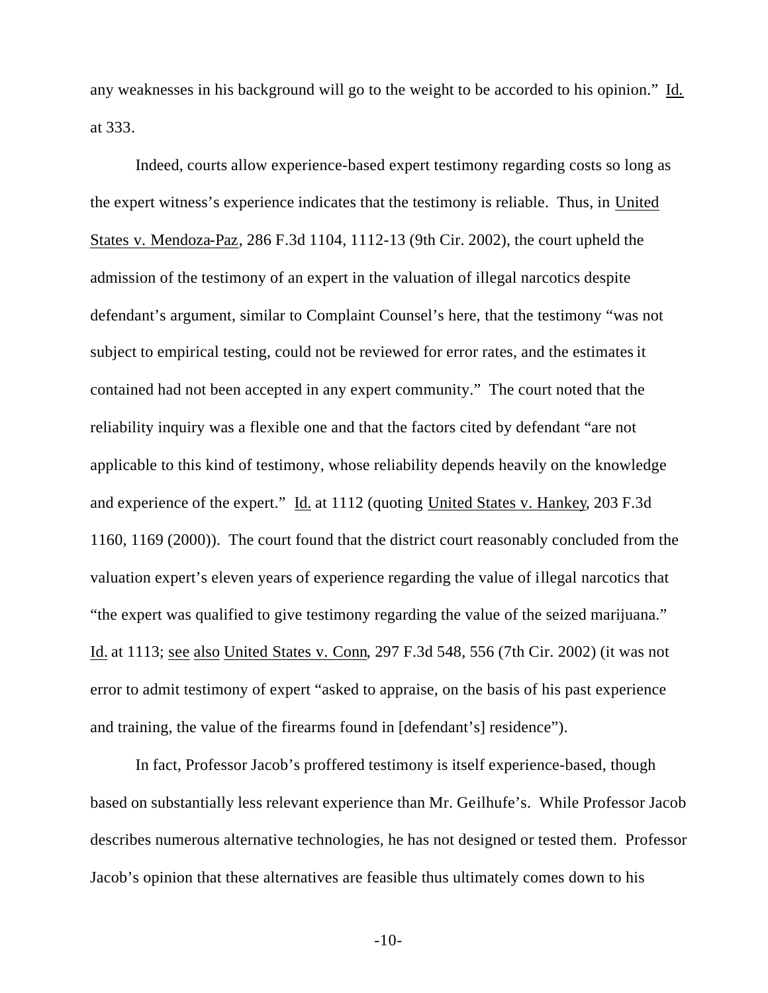any weaknesses in his background will go to the weight to be accorded to his opinion." Id. at 333.

Indeed, courts allow experience-based expert testimony regarding costs so long as the expert witness's experience indicates that the testimony is reliable. Thus, in United States v. Mendoza-Paz, 286 F.3d 1104, 1112-13 (9th Cir. 2002), the court upheld the admission of the testimony of an expert in the valuation of illegal narcotics despite defendant's argument, similar to Complaint Counsel's here, that the testimony "was not subject to empirical testing, could not be reviewed for error rates, and the estimates it contained had not been accepted in any expert community." The court noted that the reliability inquiry was a flexible one and that the factors cited by defendant "are not applicable to this kind of testimony, whose reliability depends heavily on the knowledge and experience of the expert." Id. at 1112 (quoting United States v. Hankey, 203 F.3d 1160, 1169 (2000)). The court found that the district court reasonably concluded from the valuation expert's eleven years of experience regarding the value of illegal narcotics that "the expert was qualified to give testimony regarding the value of the seized marijuana." Id. at 1113; see also United States v. Conn, 297 F.3d 548, 556 (7th Cir. 2002) (it was not error to admit testimony of expert "asked to appraise, on the basis of his past experience and training, the value of the firearms found in [defendant's] residence").

In fact, Professor Jacob's proffered testimony is itself experience-based, though based on substantially less relevant experience than Mr. Geilhufe's. While Professor Jacob describes numerous alternative technologies, he has not designed or tested them. Professor Jacob's opinion that these alternatives are feasible thus ultimately comes down to his

-10-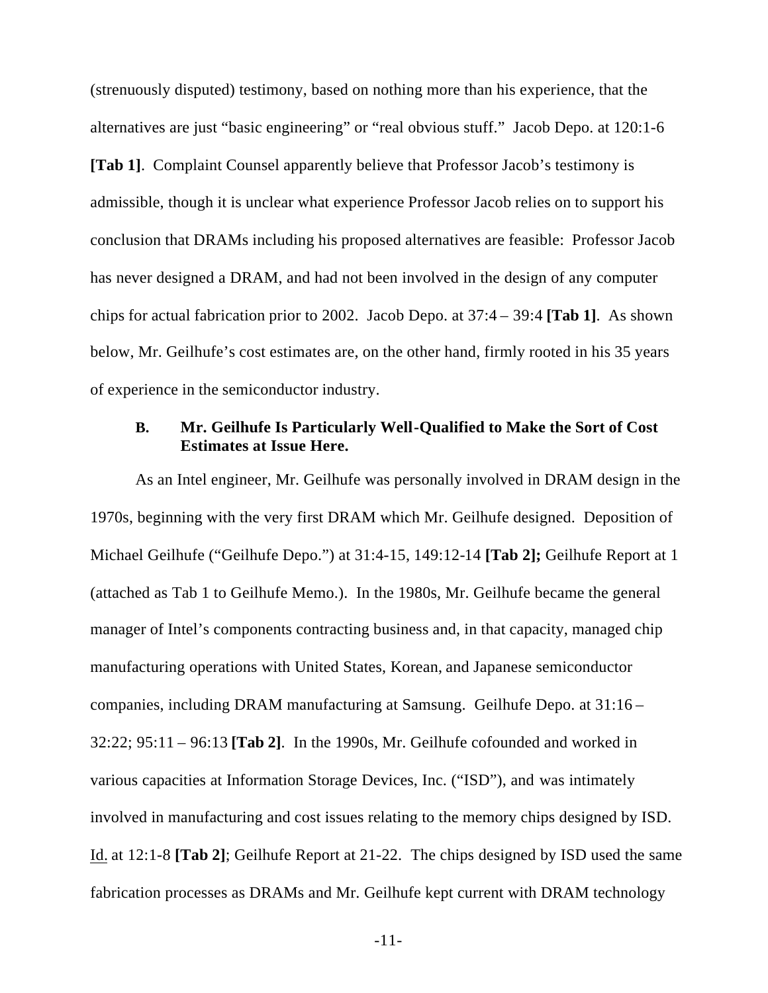(strenuously disputed) testimony, based on nothing more than his experience, that the alternatives are just "basic engineering" or "real obvious stuff." Jacob Depo. at 120:1-6 **[Tab 1]**. Complaint Counsel apparently believe that Professor Jacob's testimony is admissible, though it is unclear what experience Professor Jacob relies on to support his conclusion that DRAMs including his proposed alternatives are feasible: Professor Jacob has never designed a DRAM, and had not been involved in the design of any computer chips for actual fabrication prior to 2002. Jacob Depo. at 37:4 – 39:4 **[Tab 1]**. As shown below, Mr. Geilhufe's cost estimates are, on the other hand, firmly rooted in his 35 years of experience in the semiconductor industry.

#### **B. Mr. Geilhufe Is Particularly Well-Qualified to Make the Sort of Cost Estimates at Issue Here.**

As an Intel engineer, Mr. Geilhufe was personally involved in DRAM design in the 1970s, beginning with the very first DRAM which Mr. Geilhufe designed. Deposition of Michael Geilhufe ("Geilhufe Depo.") at 31:4-15, 149:12-14 **[Tab 2];** Geilhufe Report at 1 (attached as Tab 1 to Geilhufe Memo.). In the 1980s, Mr. Geilhufe became the general manager of Intel's components contracting business and, in that capacity, managed chip manufacturing operations with United States, Korean, and Japanese semiconductor companies, including DRAM manufacturing at Samsung. Geilhufe Depo. at 31:16 – 32:22; 95:11 – 96:13 **[Tab 2]**. In the 1990s, Mr. Geilhufe cofounded and worked in various capacities at Information Storage Devices, Inc. ("ISD"), and was intimately involved in manufacturing and cost issues relating to the memory chips designed by ISD. Id. at 12:1-8 **[Tab 2]**; Geilhufe Report at 21-22. The chips designed by ISD used the same fabrication processes as DRAMs and Mr. Geilhufe kept current with DRAM technology

-11-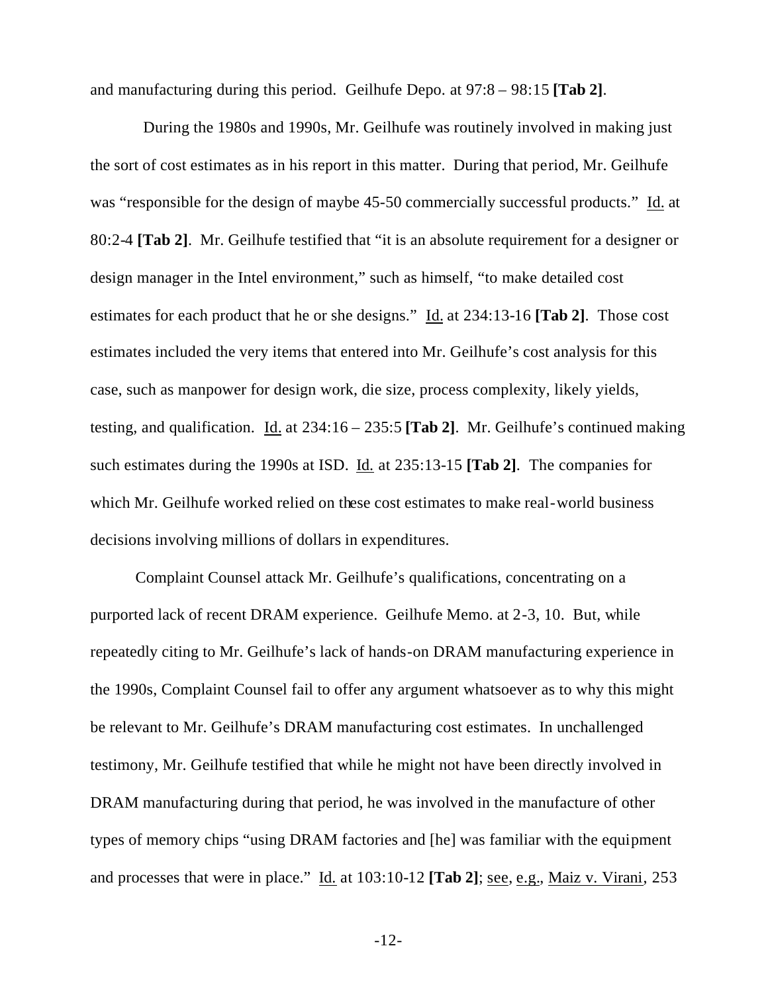and manufacturing during this period. Geilhufe Depo. at 97:8 – 98:15 **[Tab 2]**.

 During the 1980s and 1990s, Mr. Geilhufe was routinely involved in making just the sort of cost estimates as in his report in this matter. During that period, Mr. Geilhufe was "responsible for the design of maybe 45-50 commercially successful products." Id. at 80:2-4 **[Tab 2]**. Mr. Geilhufe testified that "it is an absolute requirement for a designer or design manager in the Intel environment," such as himself, "to make detailed cost estimates for each product that he or she designs." Id. at 234:13-16 **[Tab 2]**. Those cost estimates included the very items that entered into Mr. Geilhufe's cost analysis for this case, such as manpower for design work, die size, process complexity, likely yields, testing, and qualification. Id. at 234:16 – 235:5 **[Tab 2]**. Mr. Geilhufe's continued making such estimates during the 1990s at ISD. Id. at 235:13-15 **[Tab 2]**. The companies for which Mr. Geilhufe worked relied on these cost estimates to make real-world business decisions involving millions of dollars in expenditures.

Complaint Counsel attack Mr. Geilhufe's qualifications, concentrating on a purported lack of recent DRAM experience. Geilhufe Memo. at 2-3, 10. But, while repeatedly citing to Mr. Geilhufe's lack of hands-on DRAM manufacturing experience in the 1990s, Complaint Counsel fail to offer any argument whatsoever as to why this might be relevant to Mr. Geilhufe's DRAM manufacturing cost estimates. In unchallenged testimony, Mr. Geilhufe testified that while he might not have been directly involved in DRAM manufacturing during that period, he was involved in the manufacture of other types of memory chips "using DRAM factories and [he] was familiar with the equipment and processes that were in place." Id. at 103:10-12 **[Tab 2]**; see, e.g., Maiz v. Virani, 253

-12-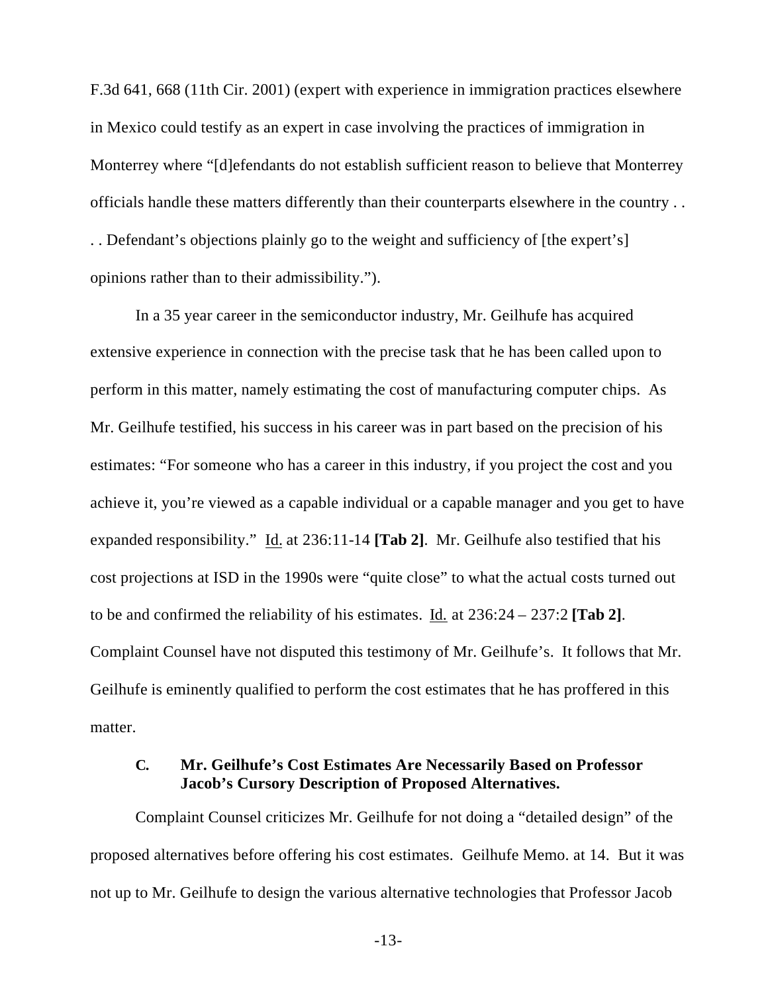F.3d 641, 668 (11th Cir. 2001) (expert with experience in immigration practices elsewhere in Mexico could testify as an expert in case involving the practices of immigration in Monterrey where "[d]efendants do not establish sufficient reason to believe that Monterrey officials handle these matters differently than their counterparts elsewhere in the country . . . . Defendant's objections plainly go to the weight and sufficiency of [the expert's] opinions rather than to their admissibility.").

In a 35 year career in the semiconductor industry, Mr. Geilhufe has acquired extensive experience in connection with the precise task that he has been called upon to perform in this matter, namely estimating the cost of manufacturing computer chips. As Mr. Geilhufe testified, his success in his career was in part based on the precision of his estimates: "For someone who has a career in this industry, if you project the cost and you achieve it, you're viewed as a capable individual or a capable manager and you get to have expanded responsibility." Id. at 236:11-14 **[Tab 2]**. Mr. Geilhufe also testified that his cost projections at ISD in the 1990s were "quite close" to what the actual costs turned out to be and confirmed the reliability of his estimates. Id. at 236:24 – 237:2 **[Tab 2]**. Complaint Counsel have not disputed this testimony of Mr. Geilhufe's. It follows that Mr. Geilhufe is eminently qualified to perform the cost estimates that he has proffered in this matter.

### **C. Mr. Geilhufe's Cost Estimates Are Necessarily Based on Professor Jacob's Cursory Description of Proposed Alternatives.**

Complaint Counsel criticizes Mr. Geilhufe for not doing a "detailed design" of the proposed alternatives before offering his cost estimates. Geilhufe Memo. at 14. But it was not up to Mr. Geilhufe to design the various alternative technologies that Professor Jacob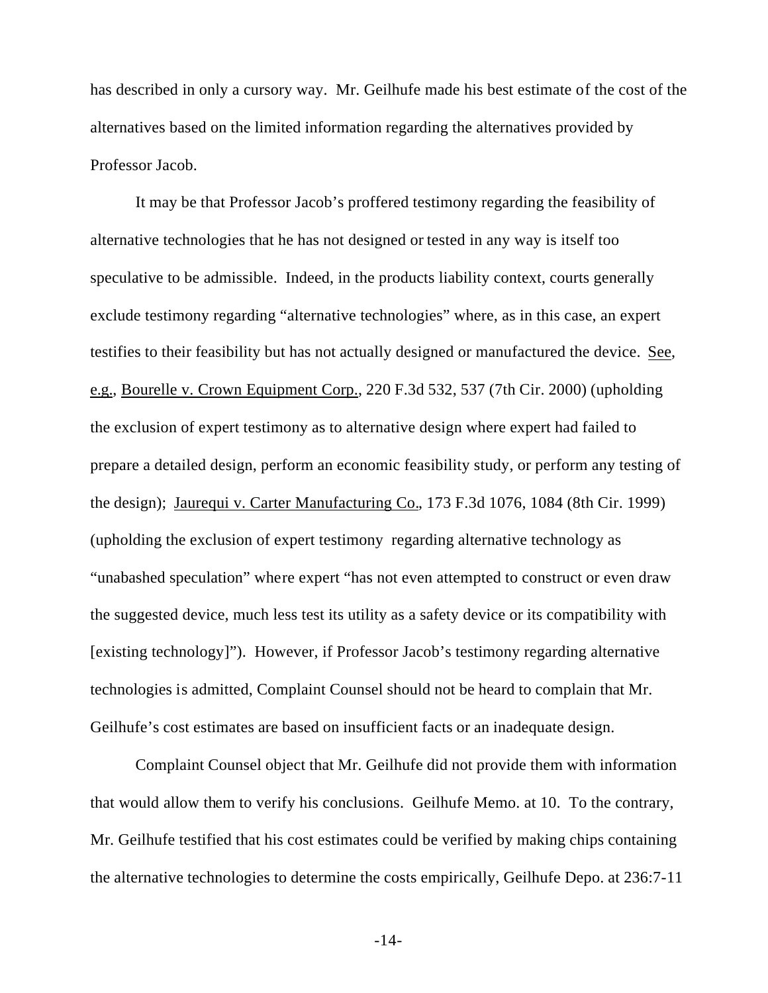has described in only a cursory way. Mr. Geilhufe made his best estimate of the cost of the alternatives based on the limited information regarding the alternatives provided by Professor Jacob.

It may be that Professor Jacob's proffered testimony regarding the feasibility of alternative technologies that he has not designed or tested in any way is itself too speculative to be admissible. Indeed, in the products liability context, courts generally exclude testimony regarding "alternative technologies" where, as in this case, an expert testifies to their feasibility but has not actually designed or manufactured the device. See, e.g., Bourelle v. Crown Equipment Corp., 220 F.3d 532, 537 (7th Cir. 2000) (upholding the exclusion of expert testimony as to alternative design where expert had failed to prepare a detailed design, perform an economic feasibility study, or perform any testing of the design); Jaurequi v. Carter Manufacturing Co., 173 F.3d 1076, 1084 (8th Cir. 1999) (upholding the exclusion of expert testimony regarding alternative technology as "unabashed speculation" where expert "has not even attempted to construct or even draw the suggested device, much less test its utility as a safety device or its compatibility with [existing technology]"). However, if Professor Jacob's testimony regarding alternative technologies is admitted, Complaint Counsel should not be heard to complain that Mr. Geilhufe's cost estimates are based on insufficient facts or an inadequate design.

Complaint Counsel object that Mr. Geilhufe did not provide them with information that would allow them to verify his conclusions. Geilhufe Memo. at 10. To the contrary, Mr. Geilhufe testified that his cost estimates could be verified by making chips containing the alternative technologies to determine the costs empirically, Geilhufe Depo. at 236:7-11

-14-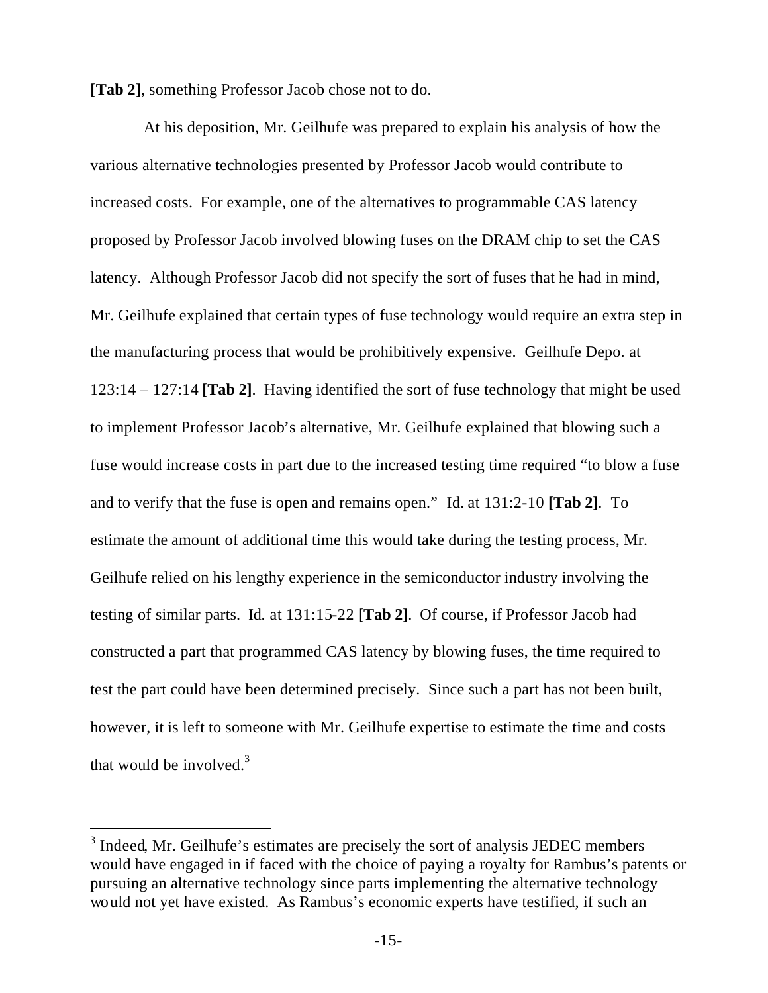**[Tab 2]**, something Professor Jacob chose not to do.

 At his deposition, Mr. Geilhufe was prepared to explain his analysis of how the various alternative technologies presented by Professor Jacob would contribute to increased costs. For example, one of the alternatives to programmable CAS latency proposed by Professor Jacob involved blowing fuses on the DRAM chip to set the CAS latency. Although Professor Jacob did not specify the sort of fuses that he had in mind, Mr. Geilhufe explained that certain types of fuse technology would require an extra step in the manufacturing process that would be prohibitively expensive. Geilhufe Depo. at 123:14 – 127:14 **[Tab 2]**. Having identified the sort of fuse technology that might be used to implement Professor Jacob's alternative, Mr. Geilhufe explained that blowing such a fuse would increase costs in part due to the increased testing time required "to blow a fuse and to verify that the fuse is open and remains open." Id. at 131:2-10 **[Tab 2]**. To estimate the amount of additional time this would take during the testing process, Mr. Geilhufe relied on his lengthy experience in the semiconductor industry involving the testing of similar parts. Id. at 131:15-22 **[Tab 2]**. Of course, if Professor Jacob had constructed a part that programmed CAS latency by blowing fuses, the time required to test the part could have been determined precisely. Since such a part has not been built, however, it is left to someone with Mr. Geilhufe expertise to estimate the time and costs that would be involved. $3$ 

l

 $3$  Indeed, Mr. Geilhufe's estimates are precisely the sort of analysis JEDEC members would have engaged in if faced with the choice of paying a royalty for Rambus's patents or pursuing an alternative technology since parts implementing the alternative technology would not yet have existed. As Rambus's economic experts have testified, if such an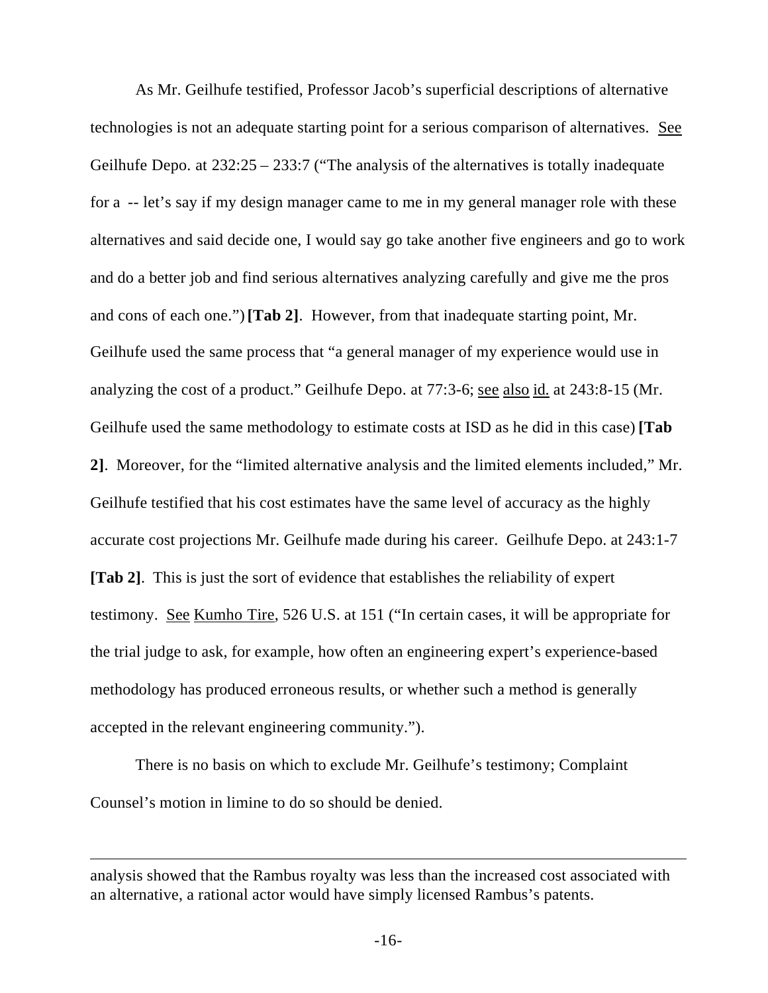As Mr. Geilhufe testified, Professor Jacob's superficial descriptions of alternative technologies is not an adequate starting point for a serious comparison of alternatives. See Geilhufe Depo. at 232:25 – 233:7 ("The analysis of the alternatives is totally inadequate for a -- let's say if my design manager came to me in my general manager role with these alternatives and said decide one, I would say go take another five engineers and go to work and do a better job and find serious alternatives analyzing carefully and give me the pros and cons of each one.") **[Tab 2]**. However, from that inadequate starting point, Mr. Geilhufe used the same process that "a general manager of my experience would use in analyzing the cost of a product." Geilhufe Depo. at 77:3-6; see also id. at 243:8-15 (Mr. Geilhufe used the same methodology to estimate costs at ISD as he did in this case) **[Tab 2]**. Moreover, for the "limited alternative analysis and the limited elements included," Mr. Geilhufe testified that his cost estimates have the same level of accuracy as the highly accurate cost projections Mr. Geilhufe made during his career. Geilhufe Depo. at 243:1-7 **[Tab 2]**. This is just the sort of evidence that establishes the reliability of expert testimony. See Kumho Tire, 526 U.S. at 151 ("In certain cases, it will be appropriate for the trial judge to ask, for example, how often an engineering expert's experience-based methodology has produced erroneous results, or whether such a method is generally accepted in the relevant engineering community.").

There is no basis on which to exclude Mr. Geilhufe's testimony; Complaint Counsel's motion in limine to do so should be denied.

l

analysis showed that the Rambus royalty was less than the increased cost associated with an alternative, a rational actor would have simply licensed Rambus's patents.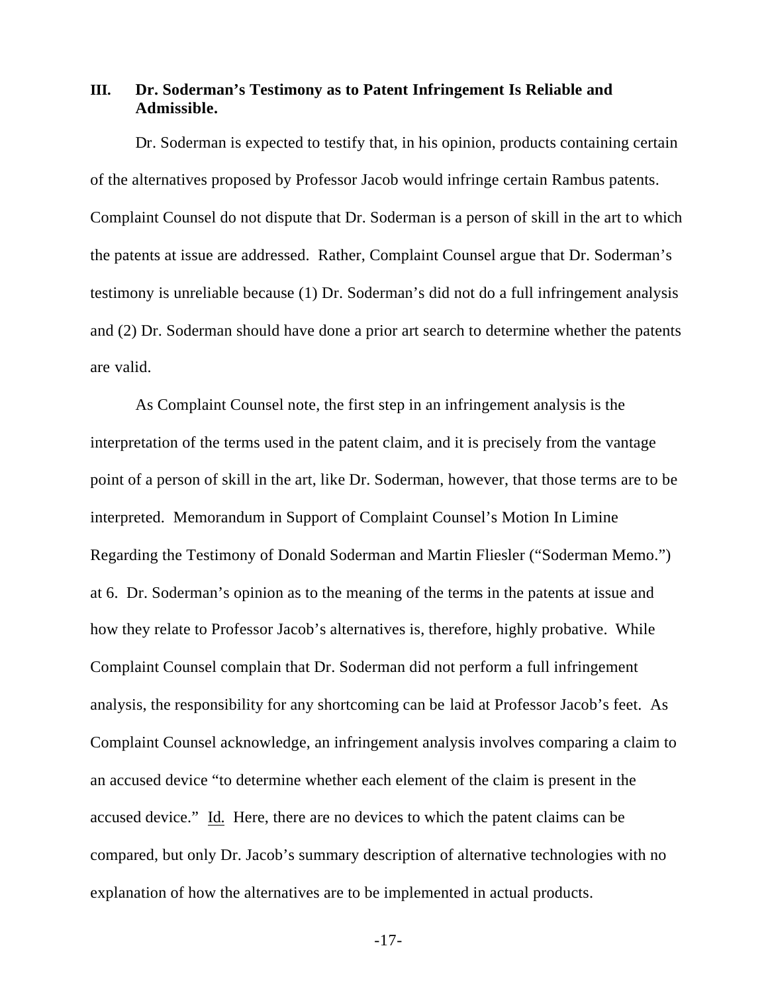### **III. Dr. Soderman's Testimony as to Patent Infringement Is Reliable and Admissible.**

Dr. Soderman is expected to testify that, in his opinion, products containing certain of the alternatives proposed by Professor Jacob would infringe certain Rambus patents. Complaint Counsel do not dispute that Dr. Soderman is a person of skill in the art to which the patents at issue are addressed. Rather, Complaint Counsel argue that Dr. Soderman's testimony is unreliable because (1) Dr. Soderman's did not do a full infringement analysis and (2) Dr. Soderman should have done a prior art search to determine whether the patents are valid.

As Complaint Counsel note, the first step in an infringement analysis is the interpretation of the terms used in the patent claim, and it is precisely from the vantage point of a person of skill in the art, like Dr. Soderman, however, that those terms are to be interpreted. Memorandum in Support of Complaint Counsel's Motion In Limine Regarding the Testimony of Donald Soderman and Martin Fliesler ("Soderman Memo.") at 6. Dr. Soderman's opinion as to the meaning of the terms in the patents at issue and how they relate to Professor Jacob's alternatives is, therefore, highly probative. While Complaint Counsel complain that Dr. Soderman did not perform a full infringement analysis, the responsibility for any shortcoming can be laid at Professor Jacob's feet. As Complaint Counsel acknowledge, an infringement analysis involves comparing a claim to an accused device "to determine whether each element of the claim is present in the accused device." Id. Here, there are no devices to which the patent claims can be compared, but only Dr. Jacob's summary description of alternative technologies with no explanation of how the alternatives are to be implemented in actual products.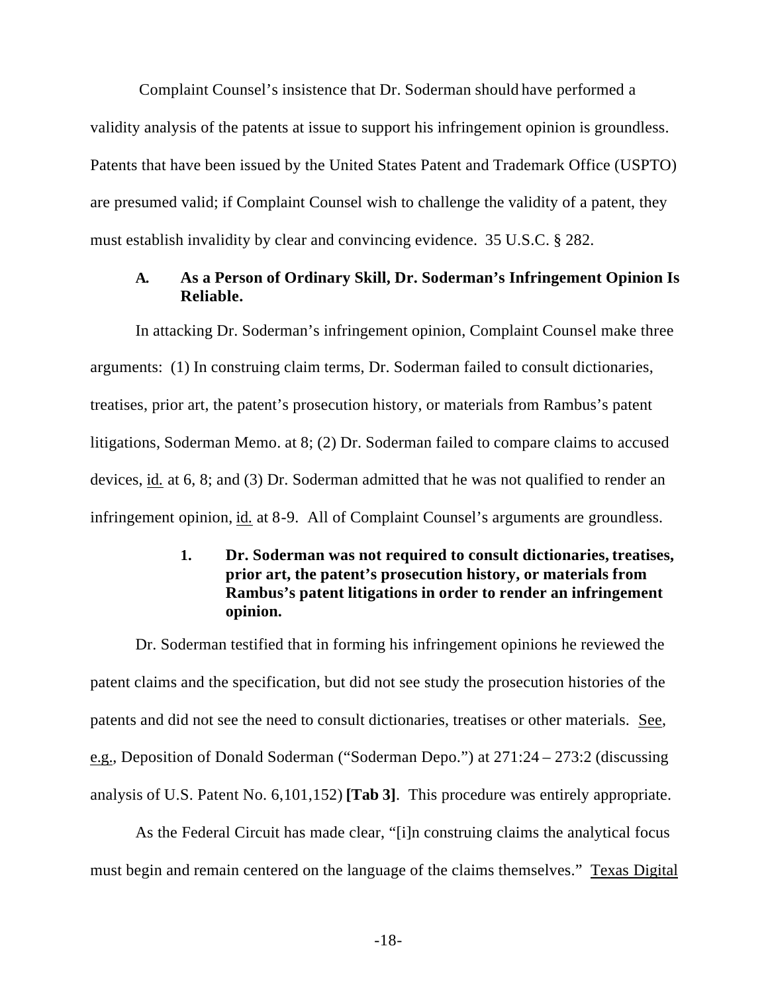Complaint Counsel's insistence that Dr. Soderman should have performed a validity analysis of the patents at issue to support his infringement opinion is groundless. Patents that have been issued by the United States Patent and Trademark Office (USPTO) are presumed valid; if Complaint Counsel wish to challenge the validity of a patent, they must establish invalidity by clear and convincing evidence. 35 U.S.C. § 282.

### **A. As a Person of Ordinary Skill, Dr. Soderman's Infringement Opinion Is Reliable.**

In attacking Dr. Soderman's infringement opinion, Complaint Counsel make three arguments: (1) In construing claim terms, Dr. Soderman failed to consult dictionaries, treatises, prior art, the patent's prosecution history, or materials from Rambus's patent litigations, Soderman Memo. at 8; (2) Dr. Soderman failed to compare claims to accused devices, id. at 6, 8; and (3) Dr. Soderman admitted that he was not qualified to render an infringement opinion, id. at 8-9. All of Complaint Counsel's arguments are groundless.

## **1. Dr. Soderman was not required to consult dictionaries, treatises, prior art, the patent's prosecution history, or materials from Rambus's patent litigations in order to render an infringement opinion.**

Dr. Soderman testified that in forming his infringement opinions he reviewed the patent claims and the specification, but did not see study the prosecution histories of the patents and did not see the need to consult dictionaries, treatises or other materials. See, e.g., Deposition of Donald Soderman ("Soderman Depo.") at 271:24 – 273:2 (discussing analysis of U.S. Patent No. 6,101,152) **[Tab 3]**. This procedure was entirely appropriate.

As the Federal Circuit has made clear, "[i]n construing claims the analytical focus must begin and remain centered on the language of the claims themselves." Texas Digital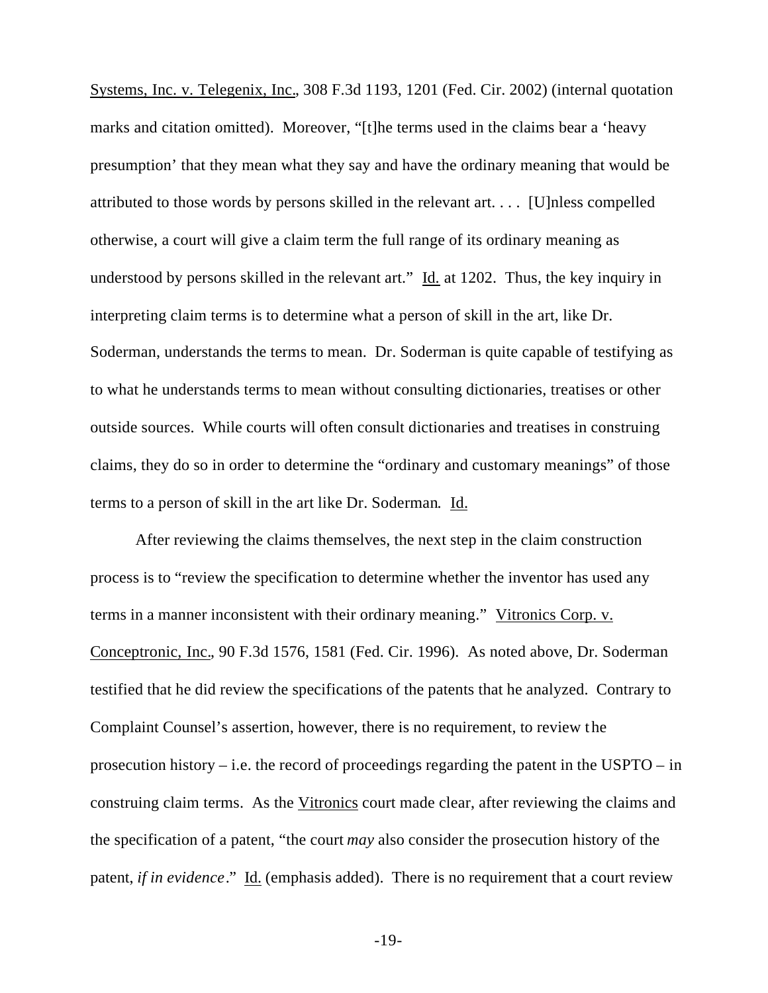Systems, Inc. v. Telegenix, Inc., 308 F.3d 1193, 1201 (Fed. Cir. 2002) (internal quotation marks and citation omitted). Moreover, "[t]he terms used in the claims bear a 'heavy presumption' that they mean what they say and have the ordinary meaning that would be attributed to those words by persons skilled in the relevant art. . . . [U]nless compelled otherwise, a court will give a claim term the full range of its ordinary meaning as understood by persons skilled in the relevant art."  $\underline{Id}$  at 1202. Thus, the key inquiry in interpreting claim terms is to determine what a person of skill in the art, like Dr. Soderman, understands the terms to mean. Dr. Soderman is quite capable of testifying as to what he understands terms to mean without consulting dictionaries, treatises or other outside sources. While courts will often consult dictionaries and treatises in construing claims, they do so in order to determine the "ordinary and customary meanings" of those terms to a person of skill in the art like Dr. Soderman. Id.

After reviewing the claims themselves, the next step in the claim construction process is to "review the specification to determine whether the inventor has used any terms in a manner inconsistent with their ordinary meaning." Vitronics Corp. v. Conceptronic, Inc., 90 F.3d 1576, 1581 (Fed. Cir. 1996). As noted above, Dr. Soderman testified that he did review the specifications of the patents that he analyzed. Contrary to Complaint Counsel's assertion, however, there is no requirement, to review t he prosecution history – i.e. the record of proceedings regarding the patent in the USPTO – in construing claim terms. As the Vitronics court made clear, after reviewing the claims and the specification of a patent, "the court *may* also consider the prosecution history of the patent, *if in evidence*." Id. (emphasis added). There is no requirement that a court review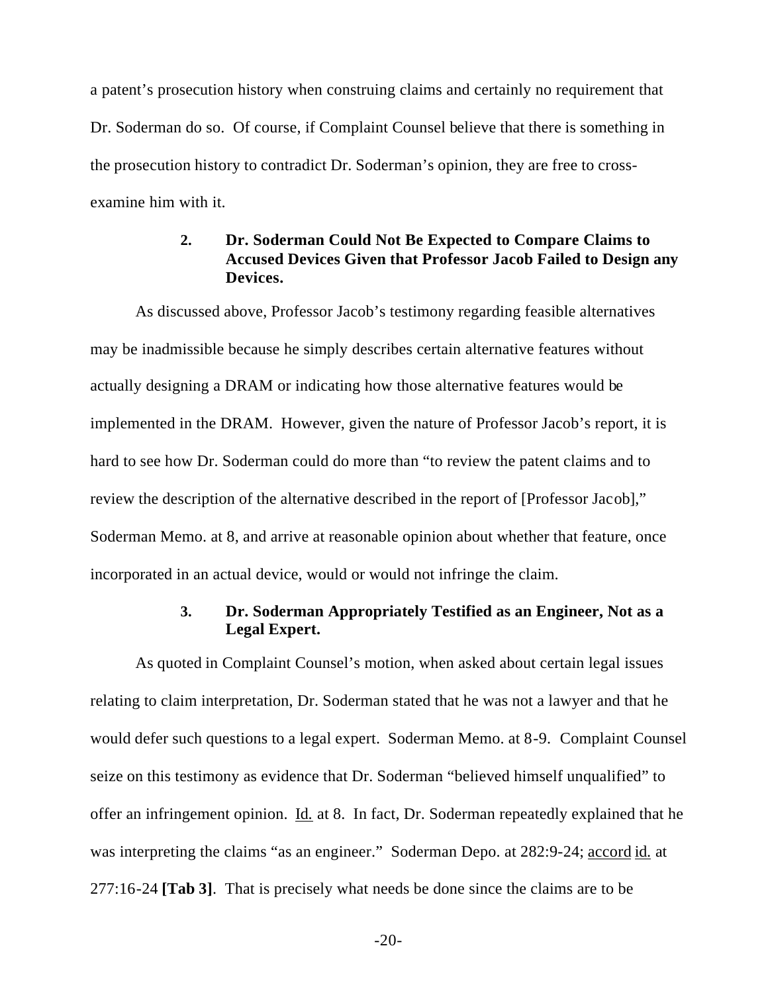a patent's prosecution history when construing claims and certainly no requirement that Dr. Soderman do so. Of course, if Complaint Counsel believe that there is something in the prosecution history to contradict Dr. Soderman's opinion, they are free to crossexamine him with it.

## **2. Dr. Soderman Could Not Be Expected to Compare Claims to Accused Devices Given that Professor Jacob Failed to Design any Devices.**

As discussed above, Professor Jacob's testimony regarding feasible alternatives may be inadmissible because he simply describes certain alternative features without actually designing a DRAM or indicating how those alternative features would be implemented in the DRAM. However, given the nature of Professor Jacob's report, it is hard to see how Dr. Soderman could do more than "to review the patent claims and to review the description of the alternative described in the report of [Professor Jacob]," Soderman Memo. at 8, and arrive at reasonable opinion about whether that feature, once incorporated in an actual device, would or would not infringe the claim.

### **3. Dr. Soderman Appropriately Testified as an Engineer, Not as a Legal Expert.**

As quoted in Complaint Counsel's motion, when asked about certain legal issues relating to claim interpretation, Dr. Soderman stated that he was not a lawyer and that he would defer such questions to a legal expert. Soderman Memo. at 8-9. Complaint Counsel seize on this testimony as evidence that Dr. Soderman "believed himself unqualified" to offer an infringement opinion. Id. at 8. In fact, Dr. Soderman repeatedly explained that he was interpreting the claims "as an engineer." Soderman Depo. at 282:9-24; accord id. at 277:16-24 **[Tab 3]**. That is precisely what needs be done since the claims are to be

 $-20-$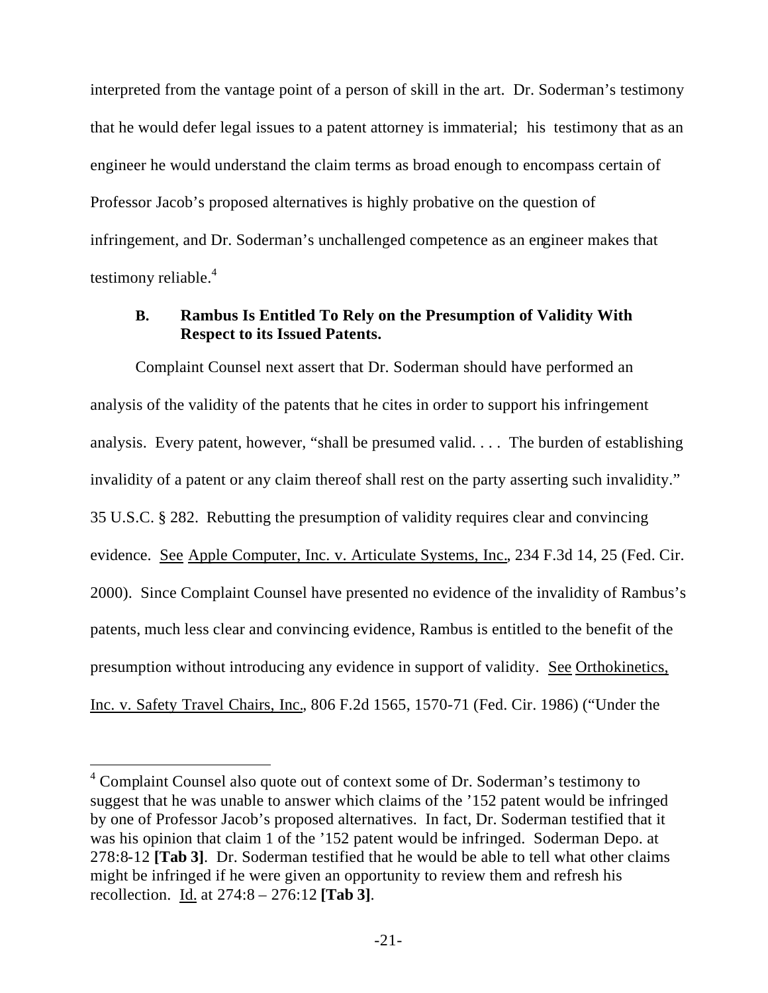interpreted from the vantage point of a person of skill in the art. Dr. Soderman's testimony that he would defer legal issues to a patent attorney is immaterial; his testimony that as an engineer he would understand the claim terms as broad enough to encompass certain of Professor Jacob's proposed alternatives is highly probative on the question of infringement, and Dr. Soderman's unchallenged competence as an engineer makes that testimony reliable.<sup>4</sup>

## **B. Rambus Is Entitled To Rely on the Presumption of Validity With Respect to its Issued Patents.**

Complaint Counsel next assert that Dr. Soderman should have performed an analysis of the validity of the patents that he cites in order to support his infringement analysis. Every patent, however, "shall be presumed valid. . . . The burden of establishing invalidity of a patent or any claim thereof shall rest on the party asserting such invalidity." 35 U.S.C. § 282. Rebutting the presumption of validity requires clear and convincing evidence. See Apple Computer, Inc. v. Articulate Systems, Inc., 234 F.3d 14, 25 (Fed. Cir. 2000). Since Complaint Counsel have presented no evidence of the invalidity of Rambus's patents, much less clear and convincing evidence, Rambus is entitled to the benefit of the presumption without introducing any evidence in support of validity. See Orthokinetics, Inc. v. Safety Travel Chairs, Inc., 806 F.2d 1565, 1570-71 (Fed. Cir. 1986) ("Under the

l

<sup>&</sup>lt;sup>4</sup> Complaint Counsel also quote out of context some of Dr. Soderman's testimony to suggest that he was unable to answer which claims of the '152 patent would be infringed by one of Professor Jacob's proposed alternatives. In fact, Dr. Soderman testified that it was his opinion that claim 1 of the '152 patent would be infringed. Soderman Depo. at 278:8-12 **[Tab 3]**. Dr. Soderman testified that he would be able to tell what other claims might be infringed if he were given an opportunity to review them and refresh his recollection. Id. at 274:8 – 276:12 **[Tab 3]**.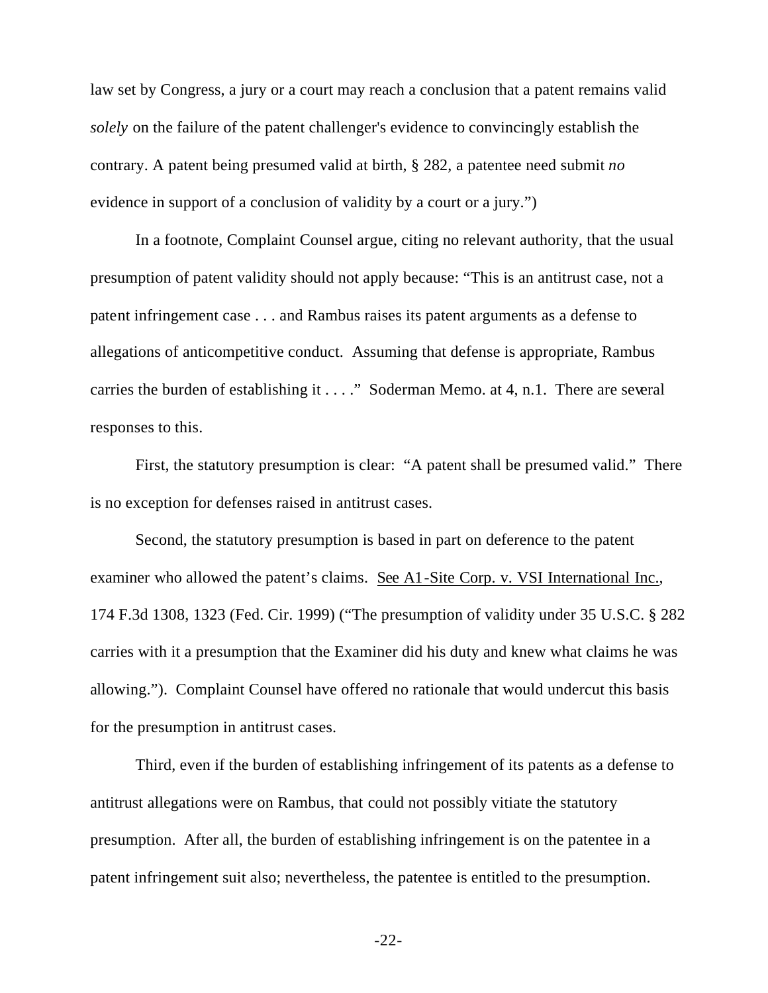law set by Congress, a jury or a court may reach a conclusion that a patent remains valid *solely* on the failure of the patent challenger's evidence to convincingly establish the contrary. A patent being presumed valid at birth, § 282, a patentee need submit *no* evidence in support of a conclusion of validity by a court or a jury.")

In a footnote, Complaint Counsel argue, citing no relevant authority, that the usual presumption of patent validity should not apply because: "This is an antitrust case, not a patent infringement case . . . and Rambus raises its patent arguments as a defense to allegations of anticompetitive conduct. Assuming that defense is appropriate, Rambus carries the burden of establishing it . . . ." Soderman Memo. at 4, n.1. There are several responses to this.

First, the statutory presumption is clear: "A patent shall be presumed valid." There is no exception for defenses raised in antitrust cases.

Second, the statutory presumption is based in part on deference to the patent examiner who allowed the patent's claims. See A1-Site Corp. v. VSI International Inc., 174 F.3d 1308, 1323 (Fed. Cir. 1999) ("The presumption of validity under 35 U.S.C. § 282 carries with it a presumption that the Examiner did his duty and knew what claims he was allowing."). Complaint Counsel have offered no rationale that would undercut this basis for the presumption in antitrust cases.

Third, even if the burden of establishing infringement of its patents as a defense to antitrust allegations were on Rambus, that could not possibly vitiate the statutory presumption. After all, the burden of establishing infringement is on the patentee in a patent infringement suit also; nevertheless, the patentee is entitled to the presumption.

-22-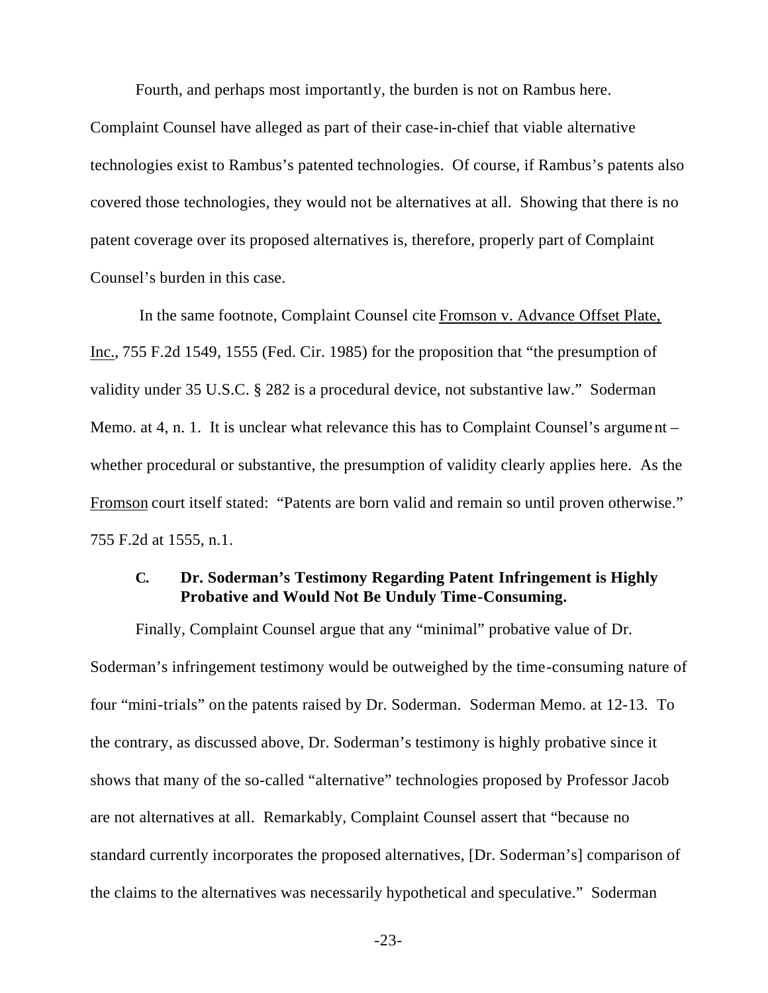Fourth, and perhaps most importantly, the burden is not on Rambus here.

Complaint Counsel have alleged as part of their case-in-chief that viable alternative technologies exist to Rambus's patented technologies. Of course, if Rambus's patents also covered those technologies, they would not be alternatives at all. Showing that there is no patent coverage over its proposed alternatives is, therefore, properly part of Complaint Counsel's burden in this case.

 In the same footnote, Complaint Counsel cite Fromson v. Advance Offset Plate, Inc., 755 F.2d 1549, 1555 (Fed. Cir. 1985) for the proposition that "the presumption of validity under 35 U.S.C. § 282 is a procedural device, not substantive law." Soderman Memo. at 4, n. 1. It is unclear what relevance this has to Complaint Counsel's argument – whether procedural or substantive, the presumption of validity clearly applies here. As the Fromson court itself stated: "Patents are born valid and remain so until proven otherwise." 755 F.2d at 1555, n.1.

### **C. Dr. Soderman's Testimony Regarding Patent Infringement is Highly Probative and Would Not Be Unduly Time-Consuming.**

Finally, Complaint Counsel argue that any "minimal" probative value of Dr. Soderman's infringement testimony would be outweighed by the time-consuming nature of four "mini-trials" on the patents raised by Dr. Soderman. Soderman Memo. at 12-13. To the contrary, as discussed above, Dr. Soderman's testimony is highly probative since it shows that many of the so-called "alternative" technologies proposed by Professor Jacob are not alternatives at all. Remarkably, Complaint Counsel assert that "because no standard currently incorporates the proposed alternatives, [Dr. Soderman's] comparison of the claims to the alternatives was necessarily hypothetical and speculative." Soderman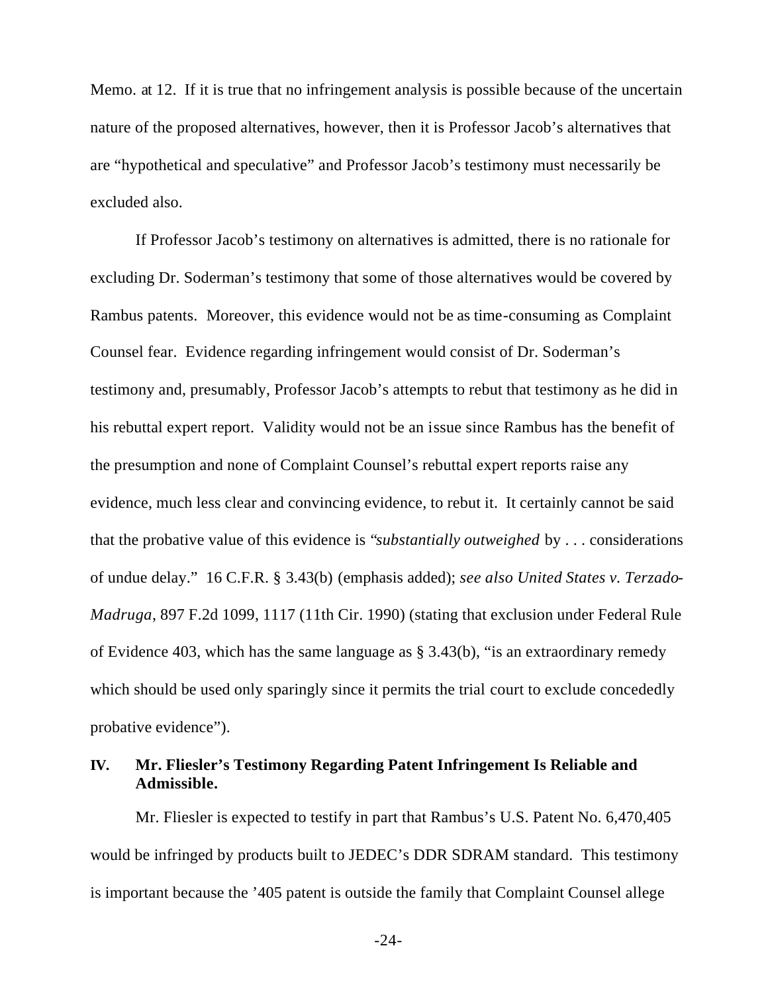Memo. at 12. If it is true that no infringement analysis is possible because of the uncertain nature of the proposed alternatives, however, then it is Professor Jacob's alternatives that are "hypothetical and speculative" and Professor Jacob's testimony must necessarily be excluded also.

If Professor Jacob's testimony on alternatives is admitted, there is no rationale for excluding Dr. Soderman's testimony that some of those alternatives would be covered by Rambus patents. Moreover, this evidence would not be as time-consuming as Complaint Counsel fear. Evidence regarding infringement would consist of Dr. Soderman's testimony and, presumably, Professor Jacob's attempts to rebut that testimony as he did in his rebuttal expert report. Validity would not be an issue since Rambus has the benefit of the presumption and none of Complaint Counsel's rebuttal expert reports raise any evidence, much less clear and convincing evidence, to rebut it. It certainly cannot be said that the probative value of this evidence is "*substantially outweighed* by . . . considerations of undue delay." 16 C.F.R. § 3.43(b) (emphasis added); *see also United States v. Terzado-Madruga*, 897 F.2d 1099, 1117 (11th Cir. 1990) (stating that exclusion under Federal Rule of Evidence 403, which has the same language as § 3.43(b), "is an extraordinary remedy which should be used only sparingly since it permits the trial court to exclude concededly probative evidence").

### **IV. Mr. Fliesler's Testimony Regarding Patent Infringement Is Reliable and Admissible.**

Mr. Fliesler is expected to testify in part that Rambus's U.S. Patent No. 6,470,405 would be infringed by products built to JEDEC's DDR SDRAM standard. This testimony is important because the '405 patent is outside the family that Complaint Counsel allege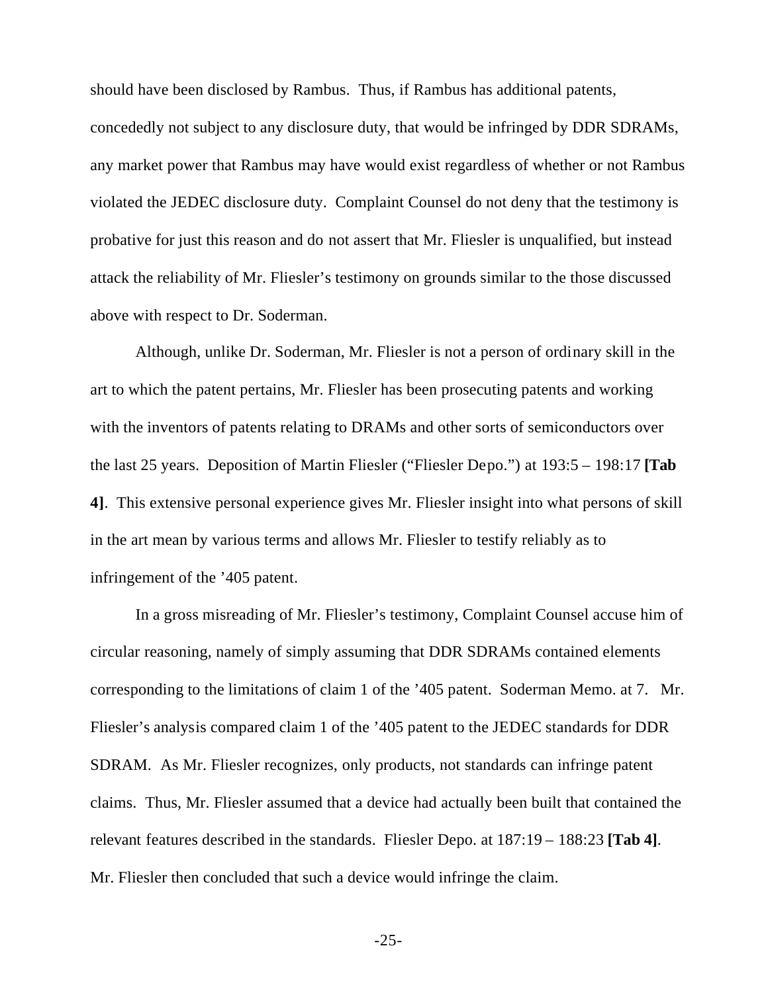should have been disclosed by Rambus. Thus, if Rambus has additional patents, concededly not subject to any disclosure duty, that would be infringed by DDR SDRAMs, any market power that Rambus may have would exist regardless of whether or not Rambus violated the JEDEC disclosure duty. Complaint Counsel do not deny that the testimony is probative for just this reason and do not assert that Mr. Fliesler is unqualified, but instead attack the reliability of Mr. Fliesler's testimony on grounds similar to the those discussed above with respect to Dr. Soderman.

Although, unlike Dr. Soderman, Mr. Fliesler is not a person of ordinary skill in the art to which the patent pertains, Mr. Fliesler has been prosecuting patents and working with the inventors of patents relating to DRAMs and other sorts of semiconductors over the last 25 years. Deposition of Martin Fliesler ("Fliesler Depo.") at 193:5 – 198:17 **[Tab 4]**. This extensive personal experience gives Mr. Fliesler insight into what persons of skill in the art mean by various terms and allows Mr. Fliesler to testify reliably as to infringement of the '405 patent.

In a gross misreading of Mr. Fliesler's testimony, Complaint Counsel accuse him of circular reasoning, namely of simply assuming that DDR SDRAMs contained elements corresponding to the limitations of claim 1 of the '405 patent. Soderman Memo. at 7. Mr. Fliesler's analysis compared claim 1 of the '405 patent to the JEDEC standards for DDR SDRAM. As Mr. Fliesler recognizes, only products, not standards can infringe patent claims. Thus, Mr. Fliesler assumed that a device had actually been built that contained the relevant features described in the standards. Fliesler Depo. at 187:19 – 188:23 **[Tab 4]**. Mr. Fliesler then concluded that such a device would infringe the claim.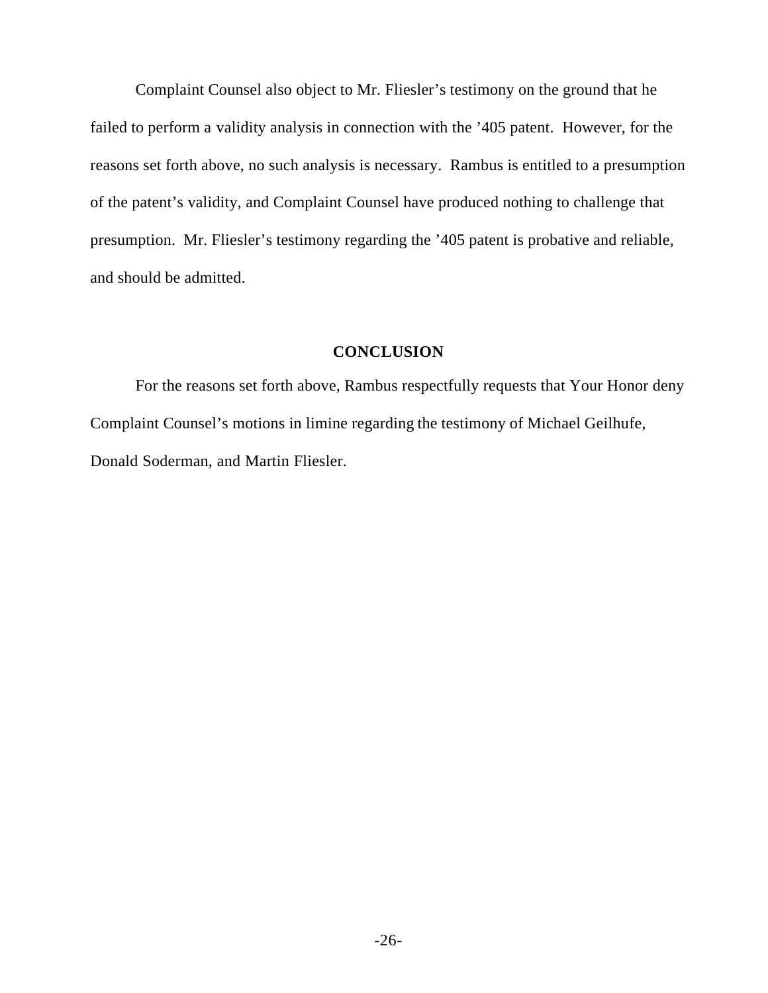Complaint Counsel also object to Mr. Fliesler's testimony on the ground that he failed to perform a validity analysis in connection with the '405 patent. However, for the reasons set forth above, no such analysis is necessary. Rambus is entitled to a presumption of the patent's validity, and Complaint Counsel have produced nothing to challenge that presumption. Mr. Fliesler's testimony regarding the '405 patent is probative and reliable, and should be admitted.

#### **CONCLUSION**

For the reasons set forth above, Rambus respectfully requests that Your Honor deny Complaint Counsel's motions in limine regarding the testimony of Michael Geilhufe, Donald Soderman, and Martin Fliesler.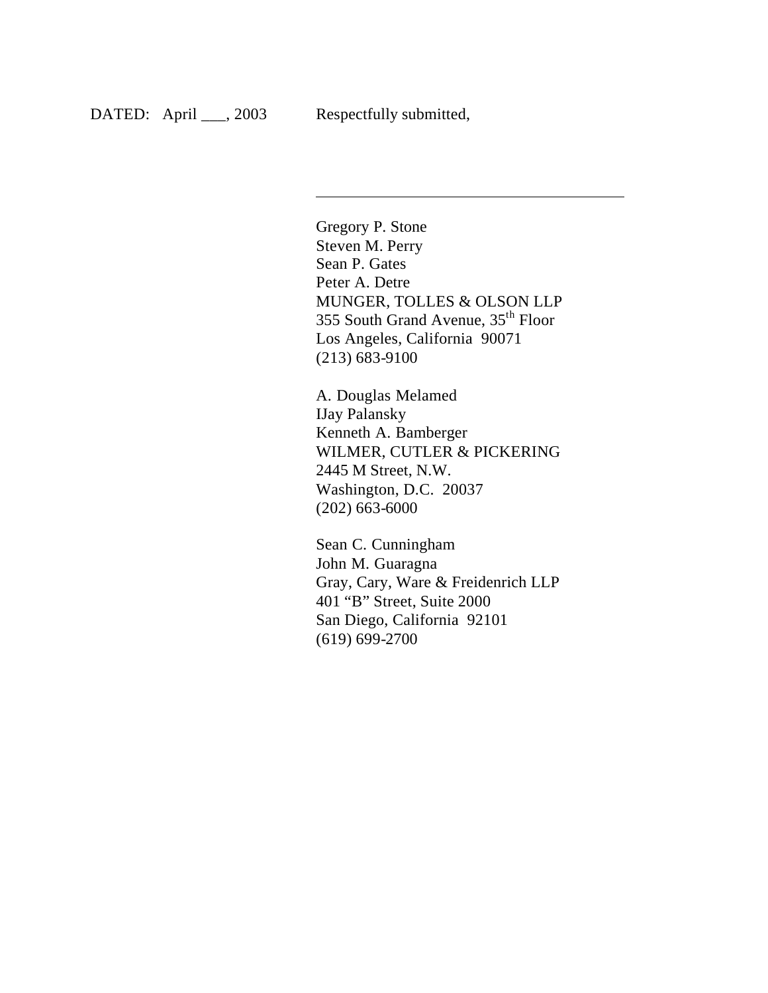$\overline{\phantom{a}}$ 

Gregory P. Stone Steven M. Perry Sean P. Gates Peter A. Detre MUNGER, TOLLES & OLSON LLP 355 South Grand Avenue, 35th Floor Los Angeles, California 90071 (213) 683-9100

A. Douglas Melamed IJay Palansky Kenneth A. Bamberger WILMER, CUTLER & PICKERING 2445 M Street, N.W. Washington, D.C. 20037 (202) 663-6000

Sean C. Cunningham John M. Guaragna Gray, Cary, Ware & Freidenrich LLP 401 "B" Street, Suite 2000 San Diego, California 92101 (619) 699-2700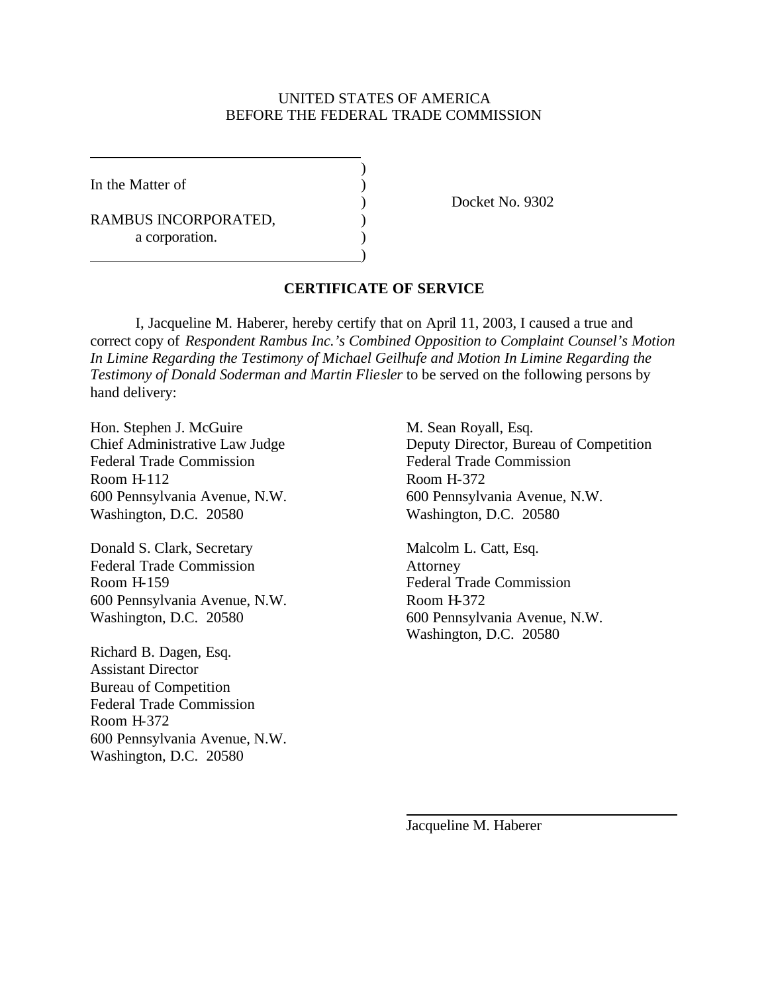#### UNITED STATES OF AMERICA BEFORE THE FEDERAL TRADE COMMISSION

)

)

In the Matter of  $\qquad \qquad$  )

RAMBUS INCORPORATED,  $($ a corporation.

) Docket No. 9302

#### **CERTIFICATE OF SERVICE**

I, Jacqueline M. Haberer, hereby certify that on April 11, 2003, I caused a true and correct copy of *Respondent Rambus Inc.'s Combined Opposition to Complaint Counsel's Motion In Limine Regarding the Testimony of Michael Geilhufe and Motion In Limine Regarding the Testimony of Donald Soderman and Martin Fliesler* to be served on the following persons by hand delivery:

Hon. Stephen J. McGuire M. Sean Royall, Esq. Federal Trade Commission Federal Trade Commission Room H-112 Room H-372 600 Pennsylvania Avenue, N.W. 600 Pennsylvania Avenue, N.W. Washington, D.C. 20580 Washington, D.C. 20580

Donald S. Clark, Secretary Malcolm L. Catt, Esq. Federal Trade Commission Attorney Room H-159 Federal Trade Commission 600 Pennsylvania Avenue, N.W. Room H-372

Richard B. Dagen, Esq. Assistant Director Bureau of Competition Federal Trade Commission Room H-372 600 Pennsylvania Avenue, N.W. Washington, D.C. 20580

Chief Administrative Law Judge Deputy Director, Bureau of Competition

Washington, D.C. 20580 600 Pennsylvania Avenue, N.W. Washington, D.C. 20580

Jacqueline M. Haberer